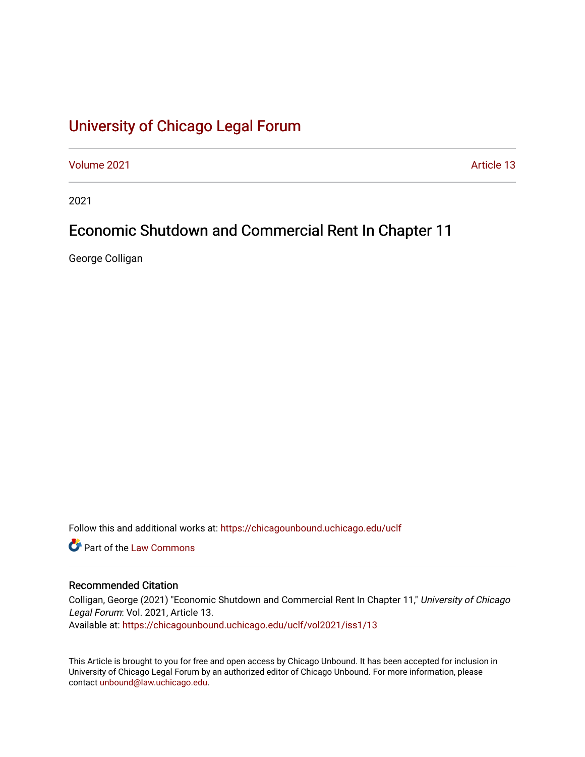# [University of Chicago Legal Forum](https://chicagounbound.uchicago.edu/uclf)

[Volume 2021](https://chicagounbound.uchicago.edu/uclf/vol2021) **Article 13** 

2021

## Economic Shutdown and Commercial Rent In Chapter 11

George Colligan

Follow this and additional works at: [https://chicagounbound.uchicago.edu/uclf](https://chicagounbound.uchicago.edu/uclf?utm_source=chicagounbound.uchicago.edu%2Fuclf%2Fvol2021%2Fiss1%2F13&utm_medium=PDF&utm_campaign=PDFCoverPages) 

**C** Part of the [Law Commons](https://network.bepress.com/hgg/discipline/578?utm_source=chicagounbound.uchicago.edu%2Fuclf%2Fvol2021%2Fiss1%2F13&utm_medium=PDF&utm_campaign=PDFCoverPages)

### Recommended Citation

Colligan, George (2021) "Economic Shutdown and Commercial Rent In Chapter 11," University of Chicago Legal Forum: Vol. 2021, Article 13. Available at: [https://chicagounbound.uchicago.edu/uclf/vol2021/iss1/13](https://chicagounbound.uchicago.edu/uclf/vol2021/iss1/13?utm_source=chicagounbound.uchicago.edu%2Fuclf%2Fvol2021%2Fiss1%2F13&utm_medium=PDF&utm_campaign=PDFCoverPages)

This Article is brought to you for free and open access by Chicago Unbound. It has been accepted for inclusion in University of Chicago Legal Forum by an authorized editor of Chicago Unbound. For more information, please contact [unbound@law.uchicago.edu](mailto:unbound@law.uchicago.edu).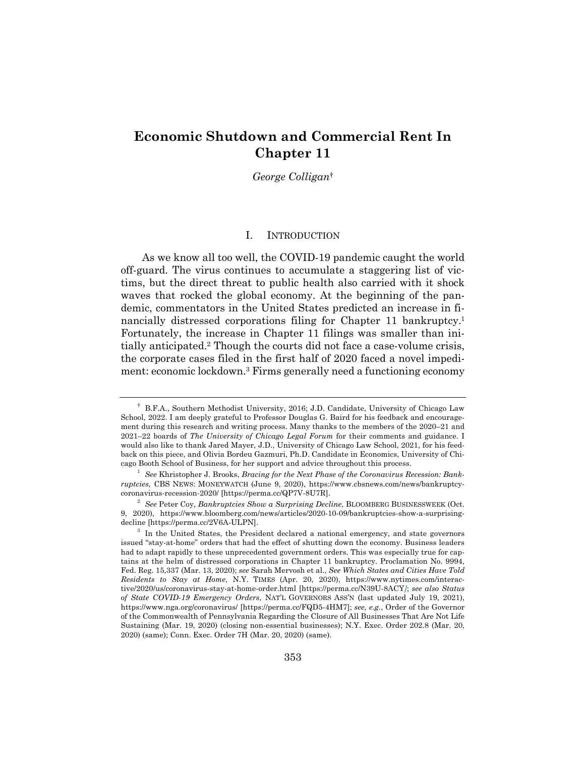## **Economic Shutdown and Commercial Rent In Chapter 11**

*George Colligan*†

#### I. INTRODUCTION

As we know all too well, the COVID-19 pandemic caught the world off-guard. The virus continues to accumulate a staggering list of victims, but the direct threat to public health also carried with it shock waves that rocked the global economy. At the beginning of the pandemic, commentators in the United States predicted an increase in financially distressed corporations filing for Chapter 11 bankruptcy.<sup>1</sup> Fortunately, the increase in Chapter 11 filings was smaller than initially anticipated.2 Though the courts did not face a case-volume crisis, the corporate cases filed in the first half of 2020 faced a novel impediment: economic lockdown.3 Firms generally need a functioning economy

<sup>†</sup> B.F.A., Southern Methodist University, 2016; J.D. Candidate, University of Chicago Law School, 2022. I am deeply grateful to Professor Douglas G. Baird for his feedback and encouragement during this research and writing process. Many thanks to the members of the 2020–21 and 2021–22 boards of *The University of Chicago Legal Forum* for their comments and guidance. I would also like to thank Jared Mayer, J.D., University of Chicago Law School, 2021, for his feedback on this piece, and Olivia Bordeu Gazmuri, Ph.D. Candidate in Economics, University of Chicago Booth School of Business, for her support and advice throughout this process.

<sup>&</sup>lt;sup>1</sup> See Khristopher J. Brooks, *Bracing for the Next Phase of the Coronavirus Recession: Bankruptcies*, CBS NEWS: MONEYWATCH (June 9, 2020), https://www.cbsnews.com/news/bankruptcycoronavirus-recession-2020/ [https://perma.cc/QP7V-8U7R].

<sup>2</sup> *See* Peter Coy, *Bankruptcies Show a Surprising Decline*, BLOOMBERG BUSINESSWEEK (Oct. 9, 2020), https://www.bloomberg.com/news/articles/2020-10-09/bankruptcies-show-a-surprisingdecline [https://perma.cc/2V6A-ULPN].

<sup>&</sup>lt;sup>3</sup> In the United States, the President declared a national emergency, and state governors issued "stay-at-home" orders that had the effect of shutting down the economy. Business leaders had to adapt rapidly to these unprecedented government orders. This was especially true for captains at the helm of distressed corporations in Chapter 11 bankruptcy. Proclamation No. 9994, Fed. Reg. 15,337 (Mar. 13, 2020); *see* Sarah Mervosh et al., *See Which States and Cities Have Told Residents to Stay at Home*, N.Y. TIMES (Apr. 20, 2020), https://www.nytimes.com/interactive/2020/us/coronavirus-stay-at-home-order.html [https://perma.cc/N39U-8ACY*]*; *see also Status of State COVID-19 Emergency Orders*, NAT'L GOVERNORS ASS'N (last updated July 19, 2021), https://www.nga.org/coronavirus/ [https://perma.cc/FQD5-4HM7]; *see, e.g.*, Order of the Governor of the Commonwealth of Pennsylvania Regarding the Closure of All Businesses That Are Not Life Sustaining (Mar. 19, 2020) (closing non-essential businesses); N.Y. Exec. Order 202.8 (Mar. 20, 2020) (same); Conn. Exec. Order 7H (Mar. 20, 2020) (same).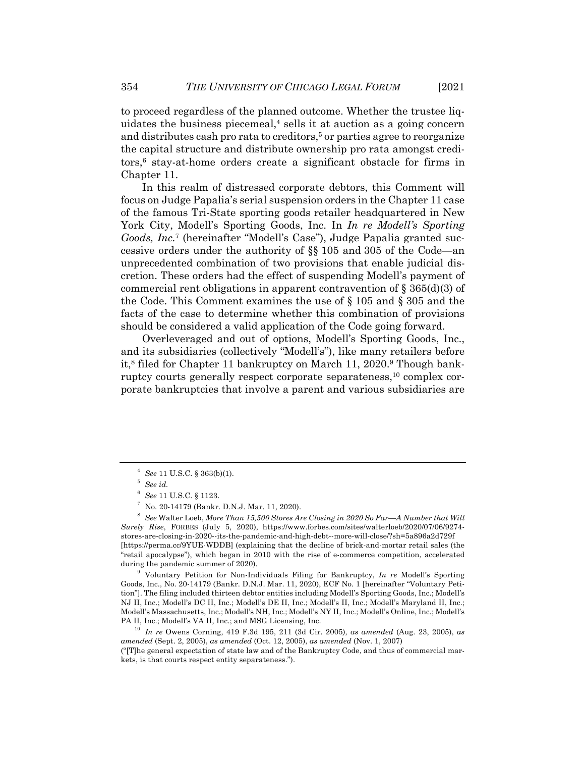to proceed regardless of the planned outcome. Whether the trustee liquidates the business piecemeal, $4$  sells it at auction as a going concern and distributes cash pro rata to creditors,<sup>5</sup> or parties agree to reorganize the capital structure and distribute ownership pro rata amongst creditors,6 stay-at-home orders create a significant obstacle for firms in Chapter 11.

In this realm of distressed corporate debtors, this Comment will focus on Judge Papalia's serial suspension orders in the Chapter 11 case of the famous Tri-State sporting goods retailer headquartered in New York City, Modell's Sporting Goods, Inc. In *In re Modell's Sporting Goods, Inc.*<sup>7</sup> (hereinafter "Modell's Case"), Judge Papalia granted successive orders under the authority of §§ 105 and 305 of the Code—an unprecedented combination of two provisions that enable judicial discretion. These orders had the effect of suspending Modell's payment of commercial rent obligations in apparent contravention of  $\S 365(d)(3)$  of the Code. This Comment examines the use of § 105 and § 305 and the facts of the case to determine whether this combination of provisions should be considered a valid application of the Code going forward.

Overleveraged and out of options, Modell's Sporting Goods, Inc., and its subsidiaries (collectively "Modell's"), like many retailers before it,<sup>8</sup> filed for Chapter 11 bankruptcy on March 11, 2020.<sup>9</sup> Though bankruptcy courts generally respect corporate separateness,<sup>10</sup> complex corporate bankruptcies that involve a parent and various subsidiaries are

<sup>4</sup> *See* 11 U.S.C. § 363(b)(1).

<sup>5</sup> *See id.*

<sup>6</sup> *See* 11 U.S.C. § 1123.

<sup>7</sup> No. 20-14179 (Bankr. D.N.J. Mar. 11, 2020).

<sup>8</sup> *See* Walter Loeb, *More Than 15,500 Stores Are Closing in 2020 So Far—A Number that Will Surely Rise*, FORBES (July 5, 2020), https://www.forbes.com/sites/walterloeb/2020/07/06/9274 stores-are-closing-in-2020--its-the-pandemic-and-high-debt--more-will-close/?sh=5a896a2d729f [https://perma.cc/9YUE-WDDB] (explaining that the decline of brick-and-mortar retail sales (the "retail apocalypse"), which began in 2010 with the rise of e-commerce competition, accelerated during the pandemic summer of 2020).

<sup>9</sup> Voluntary Petition for Non-Individuals Filing for Bankruptcy, *In re* Modell's Sporting Goods, Inc., No. 20-14179 (Bankr. D.N.J. Mar. 11, 2020), ECF No. 1 [hereinafter "Voluntary Petition"]. The filing included thirteen debtor entities including Modell's Sporting Goods, Inc.; Modell's NJ II, Inc.; Modell's DC II, Inc.; Modell's DE II, Inc.; Modell's II, Inc.; Modell's Maryland II, Inc.; Modell's Massachusetts, Inc.; Modell's NH, Inc.; Modell's NY II, Inc.; Modell's Online, Inc.; Modell's PA II, Inc.; Modell's VA II, Inc.; and MSG Licensing, Inc.

<sup>10</sup> *In re* Owens Corning, 419 F.3d 195, 211 (3d Cir. 2005), *as amended* (Aug. 23, 2005), *as amended* (Sept. 2, 2005), *as amended* (Oct. 12, 2005), *as amended* (Nov. 1, 2007)

<sup>(&</sup>quot;[T]he general expectation of state law and of the Bankruptcy Code, and thus of commercial markets, is that courts respect entity separateness.").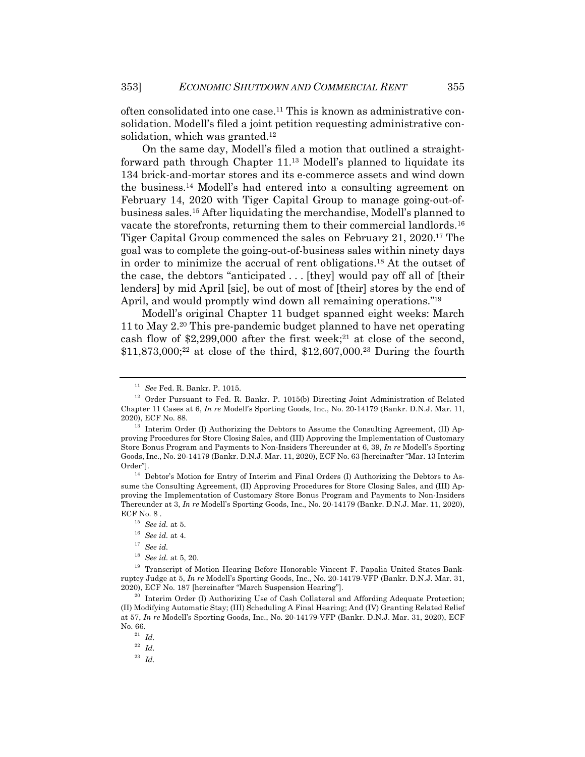often consolidated into one case.11 This is known as administrative consolidation. Modell's filed a joint petition requesting administrative consolidation, which was granted.12

On the same day, Modell's filed a motion that outlined a straightforward path through Chapter 11.13 Modell's planned to liquidate its 134 brick-and-mortar stores and its e-commerce assets and wind down the business.14 Modell's had entered into a consulting agreement on February 14, 2020 with Tiger Capital Group to manage going-out-ofbusiness sales.15 After liquidating the merchandise, Modell's planned to vacate the storefronts, returning them to their commercial landlords.16 Tiger Capital Group commenced the sales on February 21, 2020.17 The goal was to complete the going-out-of-business sales within ninety days in order to minimize the accrual of rent obligations.18 At the outset of the case, the debtors "anticipated . . . [they] would pay off all of [their lenders] by mid April [sic], be out of most of [their] stores by the end of April, and would promptly wind down all remaining operations."<sup>19</sup>

Modell's original Chapter 11 budget spanned eight weeks: March 11 to May 2.20 This pre-pandemic budget planned to have net operating cash flow of  $$2,299,000$  after the first week;<sup>21</sup> at close of the second,  $$11,873,000;^{22}$  at close of the third,  $$12,607,000.^{23}$  During the fourth

<sup>11</sup> *See* Fed. R. Bankr. P. 1015.

 $12$  Order Pursuant to Fed. R. Bankr. P. 1015(b) Directing Joint Administration of Related Chapter 11 Cases at 6, *In re* Modell's Sporting Goods, Inc., No. 20-14179 (Bankr. D.N.J. Mar. 11, 2020), ECF No. 88.

 $13$  Interim Order (I) Authorizing the Debtors to Assume the Consulting Agreement, (II) Approving Procedures for Store Closing Sales, and (III) Approving the Implementation of Customary Store Bonus Program and Payments to Non-Insiders Thereunder at 6, 39, *In re* Modell's Sporting Goods, Inc., No. 20-14179 (Bankr. D.N.J. Mar. 11, 2020), ECF No. 63 [hereinafter "Mar. 13 Interim Order"].

<sup>14</sup> Debtor's Motion for Entry of Interim and Final Orders (I) Authorizing the Debtors to Assume the Consulting Agreement, (II) Approving Procedures for Store Closing Sales, and (III) Approving the Implementation of Customary Store Bonus Program and Payments to Non-Insiders Thereunder at 3, *In re* Modell's Sporting Goods, Inc., No. 20-14179 (Bankr. D.N.J. Mar. 11, 2020), ECF No. 8.

<sup>15</sup> *See id.* at 5.

<sup>16</sup> *See id.* at 4.

<sup>17</sup> *See id.*

<sup>18</sup> *See id.* at 5, 20.

<sup>&</sup>lt;sup>19</sup> Transcript of Motion Hearing Before Honorable Vincent F. Papalia United States Bankruptcy Judge at 5, *In re* Modell's Sporting Goods, Inc., No. 20-14179-VFP (Bankr. D.N.J. Mar. 31, 2020), ECF No. 187 [hereinafter "March Suspension Hearing"].

<sup>&</sup>lt;sup>20</sup> Interim Order (I) Authorizing Use of Cash Collateral and Affording Adequate Protection; (II) Modifying Automatic Stay; (III) Scheduling A Final Hearing; And (IV) Granting Related Relief at 57, *In re* Modell's Sporting Goods, Inc., No. 20-14179-VFP (Bankr. D.N.J. Mar. 31, 2020), ECF No. 66.

<sup>21</sup> *Id.*

<sup>22</sup> *Id.*

<sup>23</sup> *Id.*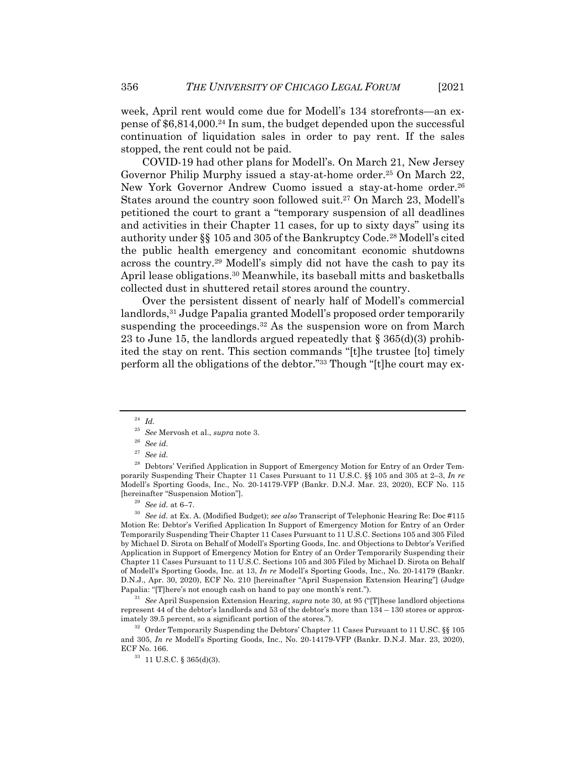week, April rent would come due for Modell's 134 storefronts—an expense of  $$6,814,000.<sup>24</sup>$  In sum, the budget depended upon the successful continuation of liquidation sales in order to pay rent. If the sales stopped, the rent could not be paid.

COVID-19 had other plans for Modell's. On March 21, New Jersey Governor Philip Murphy issued a stay-at-home order.<sup>25</sup> On March 22, New York Governor Andrew Cuomo issued a stay-at-home order.<sup>26</sup> States around the country soon followed suit.27 On March 23, Modell's petitioned the court to grant a "temporary suspension of all deadlines and activities in their Chapter 11 cases, for up to sixty days" using its authority under §§ 105 and 305 of the Bankruptcy Code.28 Modell's cited the public health emergency and concomitant economic shutdowns across the country.29 Modell's simply did not have the cash to pay its April lease obligations.30 Meanwhile, its baseball mitts and basketballs collected dust in shuttered retail stores around the country.

Over the persistent dissent of nearly half of Modell's commercial landlords,<sup>31</sup> Judge Papalia granted Modell's proposed order temporarily suspending the proceedings.<sup>32</sup> As the suspension wore on from March 23 to June 15, the landlords argued repeatedly that  $\S 365(d)(3)$  prohibited the stay on rent. This section commands "[t]he trustee [to] timely perform all the obligations of the debtor."33 Though "[t]he court may ex-

<sup>24</sup> *Id.*

<sup>26</sup> *See id.*

<sup>30</sup> *See id.* at Ex. A. (Modified Budget); *see also* Transcript of Telephonic Hearing Re: Doc #115 Motion Re: Debtor's Verified Application In Support of Emergency Motion for Entry of an Order Temporarily Suspending Their Chapter 11 Cases Pursuant to 11 U.S.C. Sections 105 and 305 Filed by Michael D. Sirota on Behalf of Modell's Sporting Goods, Inc. and Objections to Debtor's Verified Application in Support of Emergency Motion for Entry of an Order Temporarily Suspending their Chapter 11 Cases Pursuant to 11 U.S.C. Sections 105 and 305 Filed by Michael D. Sirota on Behalf of Modell's Sporting Goods, Inc. at 13, *In re* Modell's Sporting Goods, Inc., No. 20-14179 (Bankr. D.N.J., Apr. 30, 2020), ECF No. 210 [hereinafter "April Suspension Extension Hearing"] (Judge Papalia: "[T]here's not enough cash on hand to pay one month's rent.").

<sup>31</sup> *See* April Suspension Extension Hearing, *supra* note 30, at 95 ("[T]hese landlord objections represent 44 of the debtor's landlords and 53 of the debtor's more than 134 – 130 stores or approximately 39.5 percent, so a significant portion of the stores.").

 $32$  Order Temporarily Suspending the Debtors' Chapter 11 Cases Pursuant to 11 U.SC.  $\S$  105 and 305, *In re* Modell's Sporting Goods, Inc., No. 20-14179-VFP (Bankr. D.N.J. Mar. 23, 2020), ECF No. 166.

<sup>25</sup> *See* Mervosh et al., *supra* note 3.

<sup>27</sup> *See id.*

<sup>&</sup>lt;sup>28</sup> Debtors' Verified Application in Support of Emergency Motion for Entry of an Order Temporarily Suspending Their Chapter 11 Cases Pursuant to 11 U.S.C. §§ 105 and 305 at 2–3, *In re* Modell's Sporting Goods, Inc., No. 20-14179-VFP (Bankr. D.N.J. Mar. 23, 2020), ECF No. 115 [hereinafter "Suspension Motion"].

<sup>29</sup> *See id.* at 6–7.

<sup>33</sup> 11 U.S.C. § 365(d)(3).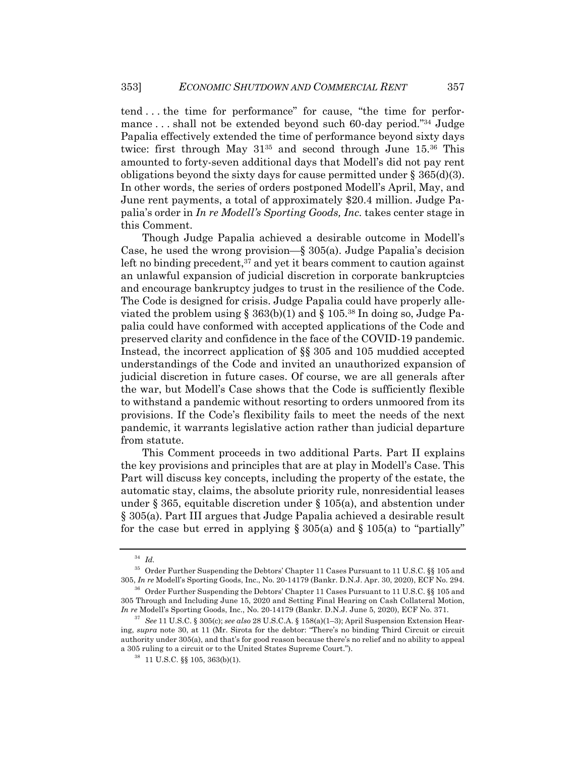tend . . . the time for performance" for cause, "the time for performance . . . shall not be extended beyond such 60-day period."34 Judge Papalia effectively extended the time of performance beyond sixty days twice: first through May 3135 and second through June 15.36 This amounted to forty-seven additional days that Modell's did not pay rent obligations beyond the sixty days for cause permitted under  $\S 365(d)(3)$ . In other words, the series of orders postponed Modell's April, May, and June rent payments, a total of approximately \$20.4 million. Judge Papalia's order in *In re Modell's Sporting Goods, Inc.* takes center stage in this Comment.

Though Judge Papalia achieved a desirable outcome in Modell's Case, he used the wrong provision—§ 305(a). Judge Papalia's decision left no binding precedent,  $37$  and yet it bears comment to caution against an unlawful expansion of judicial discretion in corporate bankruptcies and encourage bankruptcy judges to trust in the resilience of the Code. The Code is designed for crisis. Judge Papalia could have properly alleviated the problem using  $\S$  363(b)(1) and  $\S$  105.<sup>38</sup> In doing so, Judge Papalia could have conformed with accepted applications of the Code and preserved clarity and confidence in the face of the COVID-19 pandemic. Instead, the incorrect application of §§ 305 and 105 muddied accepted understandings of the Code and invited an unauthorized expansion of judicial discretion in future cases. Of course, we are all generals after the war, but Modell's Case shows that the Code is sufficiently flexible to withstand a pandemic without resorting to orders unmoored from its provisions. If the Code's flexibility fails to meet the needs of the next pandemic, it warrants legislative action rather than judicial departure from statute.

This Comment proceeds in two additional Parts. Part II explains the key provisions and principles that are at play in Modell's Case. This Part will discuss key concepts, including the property of the estate, the automatic stay, claims, the absolute priority rule, nonresidential leases under § 365, equitable discretion under § 105(a), and abstention under § 305(a). Part III argues that Judge Papalia achieved a desirable result for the case but erred in applying  $\S 305(a)$  and  $\S 105(a)$  to "partially"

<sup>34</sup> *Id.*

<sup>35</sup> Order Further Suspending the Debtors' Chapter 11 Cases Pursuant to 11 U.S.C. §§ 105 and 305, *In re* Modell's Sporting Goods, Inc., No. 20-14179 (Bankr. D.N.J. Apr. 30, 2020), ECF No. 294.

<sup>36</sup> Order Further Suspending the Debtors' Chapter 11 Cases Pursuant to 11 U.S.C. §§ 105 and 305 Through and Including June 15, 2020 and Setting Final Hearing on Cash Collateral Motion, *In re* Modell's Sporting Goods, Inc., No. 20-14179 (Bankr. D.N.J. June 5, 2020), ECF No. 371.

<sup>37</sup> *See* 11 U.S.C. § 305(c); *see also* 28 U.S.C.A. § 158(a)(1–3); April Suspension Extension Hearing, *supra* note 30, at 11 (Mr. Sirota for the debtor: "There's no binding Third Circuit or circuit authority under 305(a), and that's for good reason because there's no relief and no ability to appeal a 305 ruling to a circuit or to the United States Supreme Court.").

<sup>38</sup> 11 U.S.C. §§ 105, 363(b)(1).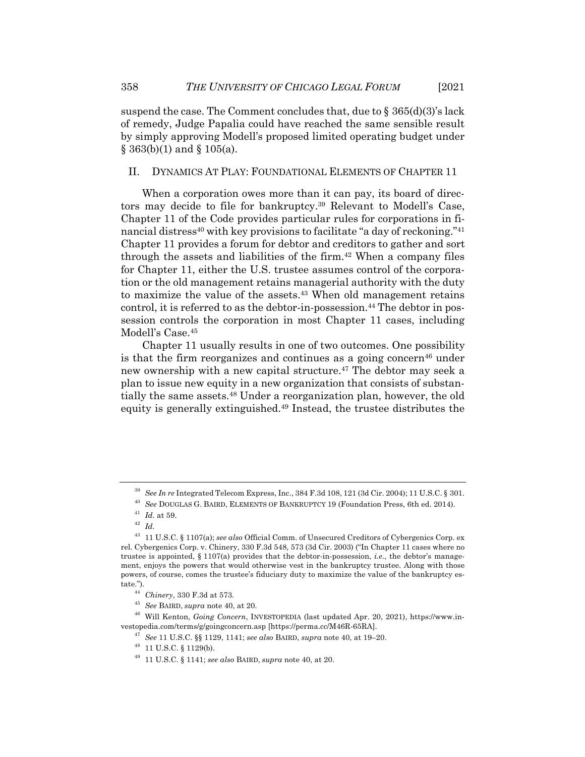suspend the case. The Comment concludes that, due to  $\S$  365(d)(3)'s lack of remedy, Judge Papalia could have reached the same sensible result by simply approving Modell's proposed limited operating budget under  $\S$  363(b)(1) and  $\S$  105(a).

#### II. DYNAMICS AT PLAY: FOUNDATIONAL ELEMENTS OF CHAPTER 11

When a corporation owes more than it can pay, its board of directors may decide to file for bankruptcy.39 Relevant to Modell's Case, Chapter 11 of the Code provides particular rules for corporations in financial distress<sup>40</sup> with key provisions to facilitate "a day of reckoning."<sup>41</sup> Chapter 11 provides a forum for debtor and creditors to gather and sort through the assets and liabilities of the firm.42 When a company files for Chapter 11, either the U.S. trustee assumes control of the corporation or the old management retains managerial authority with the duty to maximize the value of the assets.<sup>43</sup> When old management retains control, it is referred to as the debtor-in-possession.44 The debtor in possession controls the corporation in most Chapter 11 cases, including Modell's Case.45

Chapter 11 usually results in one of two outcomes. One possibility is that the firm reorganizes and continues as a going concern<sup>46</sup> under new ownership with a new capital structure.<sup>47</sup> The debtor may seek a plan to issue new equity in a new organization that consists of substantially the same assets.48 Under a reorganization plan, however, the old equity is generally extinguished.49 Instead, the trustee distributes the

<sup>39</sup> *See In re* Integrated Telecom Express, Inc., 384 F.3d 108, 121 (3d Cir. 2004); 11 U.S.C. § 301.

<sup>40</sup> *See* DOUGLAS G. BAIRD, ELEMENTS OF BANKRUPTCY 19 (Foundation Press, 6th ed. 2014).

 $^{41}\,$   $Id.\;$  at 59.

<sup>42</sup> *Id.*

<sup>43</sup> 11 U.S.C. § 1107(a); *see also* Official Comm. of Unsecured Creditors of Cybergenics Corp. ex rel. Cybergenics Corp. v. Chinery, 330 F.3d 548, 573 (3d Cir. 2003) ("In Chapter 11 cases where no trustee is appointed, § 1107(a) provides that the debtor-in-possession, *i.e.*, the debtor's management, enjoys the powers that would otherwise vest in the bankruptcy trustee. Along with those powers, of course, comes the trustee's fiduciary duty to maximize the value of the bankruptcy estate.").

<sup>44</sup> *Chinery*, 330 F.3d at 573.

<sup>45</sup> *See* BAIRD, *supra* note 40, at 20.

<sup>46</sup> Will Kenton, *Going Concern*, INVESTOPEDIA (last updated Apr. 20, 2021), https://www.investopedia.com/terms/g/goingconcern.asp [https://perma.cc/M46R-65RA].

<sup>47</sup> *See* 11 U.S.C. §§ 1129, 1141; *see also* BAIRD, *supra* note 40, at 19–20.

<sup>48</sup> 11 U.S.C. § 1129(b).

<sup>49</sup> 11 U.S.C. § 1141; *see also* BAIRD, *supra* note 40, at 20.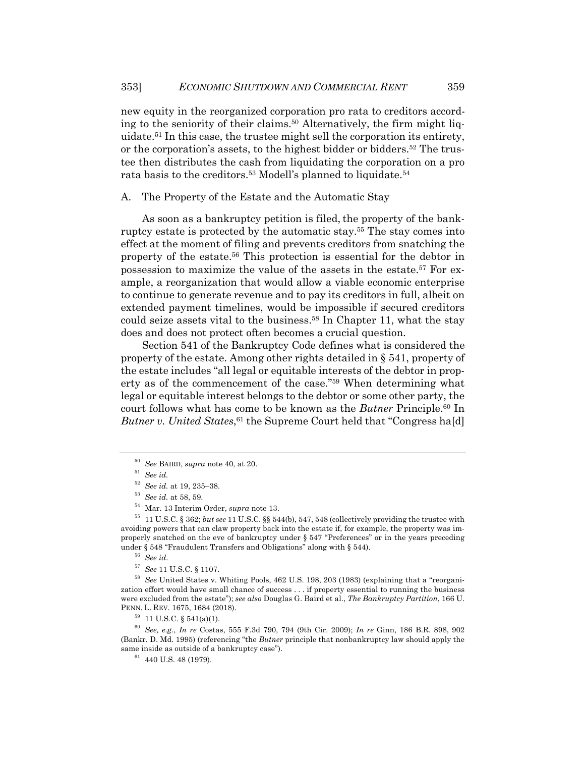new equity in the reorganized corporation pro rata to creditors according to the seniority of their claims.50 Alternatively, the firm might liquidate.51 In this case, the trustee might sell the corporation its entirety, or the corporation's assets, to the highest bidder or bidders.52 The trustee then distributes the cash from liquidating the corporation on a pro rata basis to the creditors.53 Modell's planned to liquidate.54

A. The Property of the Estate and the Automatic Stay

As soon as a bankruptcy petition is filed, the property of the bankruptcy estate is protected by the automatic stay.55 The stay comes into effect at the moment of filing and prevents creditors from snatching the property of the estate.56 This protection is essential for the debtor in possession to maximize the value of the assets in the estate.57 For example, a reorganization that would allow a viable economic enterprise to continue to generate revenue and to pay its creditors in full, albeit on extended payment timelines, would be impossible if secured creditors could seize assets vital to the business.58 In Chapter 11, what the stay does and does not protect often becomes a crucial question.

Section 541 of the Bankruptcy Code defines what is considered the property of the estate. Among other rights detailed in § 541, property of the estate includes "all legal or equitable interests of the debtor in property as of the commencement of the case."<sup>59</sup> When determining what legal or equitable interest belongs to the debtor or some other party, the court follows what has come to be known as the *Butner* Principle.60 In Butner v. United States,<sup>61</sup> the Supreme Court held that "Congress ha[d]

<sup>59</sup> 11 U.S.C. § 541(a)(1).

<sup>50</sup> *See* BAIRD, *supra* note 40, at 20.

<sup>51</sup> *See id.*

<sup>52</sup> *See id.* at 19, 235–38.

<sup>53</sup> *See id.* at 58, 59.

<sup>54</sup> Mar. 13 Interim Order, *supra* note 13.

<sup>55</sup> 11 U.S.C. § 362; *but see* 11 U.S.C. §§ 544(b), 547, 548 (collectively providing the trustee with avoiding powers that can claw property back into the estate if, for example, the property was improperly snatched on the eve of bankruptcy under § 547 "Preferences" or in the years preceding under § 548 "Fraudulent Transfers and Obligations" along with § 544).

<sup>56</sup> *See id*.

<sup>57</sup> *See* 11 U.S.C. § 1107.

<sup>58</sup> *See* United States v. Whiting Pools, 462 U.S. 198, 203 (1983) (explaining that a "reorganization effort would have small chance of success . . . if property essential to running the business were excluded from the estate"); *see also* Douglas G. Baird et al., *The Bankruptcy Partition*, 166 U. PENN. L. REV. 1675, 1684 (2018).

<sup>60</sup> *See, e.g.*, *In re* Costas, 555 F.3d 790, 794 (9th Cir. 2009); *In re* Ginn, 186 B.R. 898, 902 (Bankr. D. Md. 1995) (referencing "the *Butner* principle that nonbankruptcy law should apply the same inside as outside of a bankruptcy case").

 $61$  440 U.S. 48 (1979).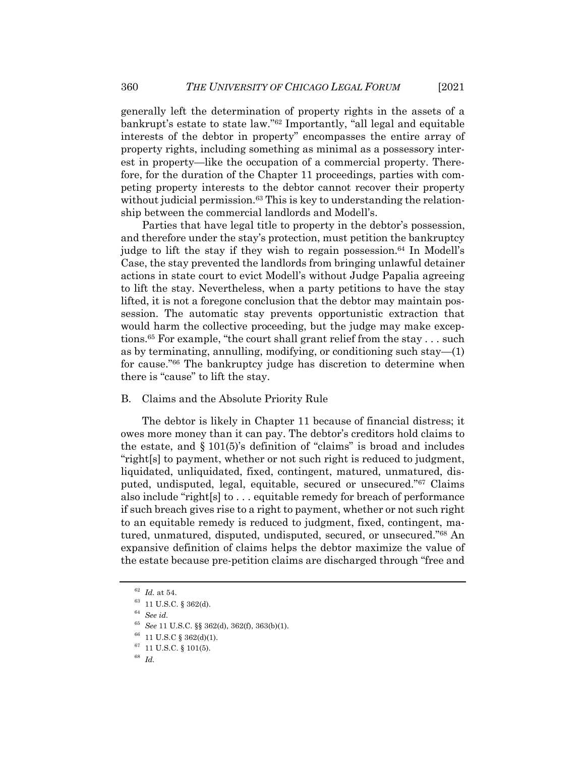generally left the determination of property rights in the assets of a bankrupt's estate to state law."62 Importantly, "all legal and equitable interests of the debtor in property" encompasses the entire array of property rights, including something as minimal as a possessory interest in property—like the occupation of a commercial property. Therefore, for the duration of the Chapter 11 proceedings, parties with competing property interests to the debtor cannot recover their property without judicial permission. $63$  This is key to understanding the relationship between the commercial landlords and Modell's.

Parties that have legal title to property in the debtor's possession, and therefore under the stay's protection, must petition the bankruptcy judge to lift the stay if they wish to regain possession.<sup>64</sup> In Modell's Case, the stay prevented the landlords from bringing unlawful detainer actions in state court to evict Modell's without Judge Papalia agreeing to lift the stay. Nevertheless, when a party petitions to have the stay lifted, it is not a foregone conclusion that the debtor may maintain possession. The automatic stay prevents opportunistic extraction that would harm the collective proceeding, but the judge may make exceptions.65 For example, "the court shall grant relief from the stay . . . such as by terminating, annulling, modifying, or conditioning such stay—(1) for cause."66 The bankruptcy judge has discretion to determine when there is "cause" to lift the stay.

#### B. Claims and the Absolute Priority Rule

The debtor is likely in Chapter 11 because of financial distress; it owes more money than it can pay. The debtor's creditors hold claims to the estate, and  $\S 101(5)$ 's definition of "claims" is broad and includes "right[s] to payment, whether or not such right is reduced to judgment, liquidated, unliquidated, fixed, contingent, matured, unmatured, disputed, undisputed, legal, equitable, secured or unsecured."67 Claims also include "right[s] to . . . equitable remedy for breach of performance if such breach gives rise to a right to payment, whether or not such right to an equitable remedy is reduced to judgment, fixed, contingent, matured, unmatured, disputed, undisputed, secured, or unsecured."68 An expansive definition of claims helps the debtor maximize the value of the estate because pre-petition claims are discharged through "free and

 $^{62}\,$   $Id.\;$  at 54.

<sup>63</sup> 11 U.S.C. § 362(d).

<sup>64</sup> *See id.*

<sup>65</sup> *See* 11 U.S.C. §§ 362(d), 362(f), 363(b)(1).

 $^{66}$  11 U.S.C  $\S$  362(d)(1).

<sup>67</sup> 11 U.S.C. § 101(5).

<sup>68</sup> *Id.*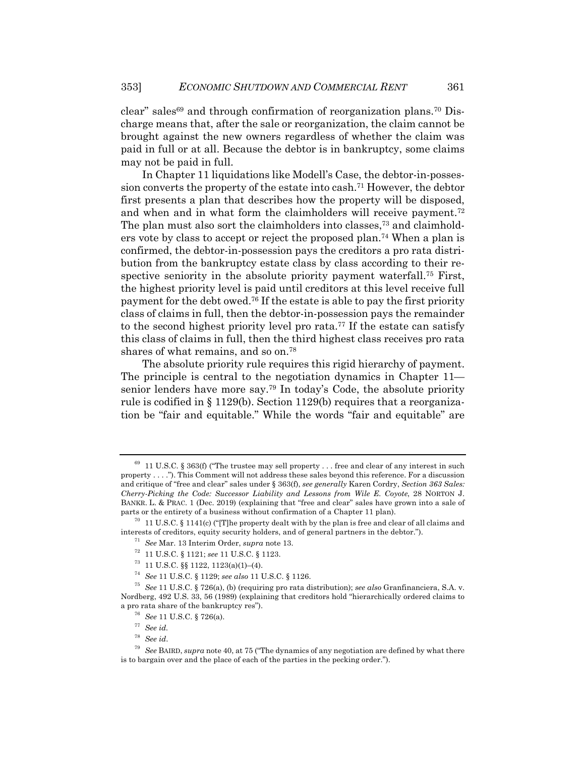$clear$ " sales<sup>69</sup> and through confirmation of reorganization plans.<sup>70</sup> Discharge means that, after the sale or reorganization, the claim cannot be brought against the new owners regardless of whether the claim was paid in full or at all. Because the debtor is in bankruptcy, some claims may not be paid in full.

In Chapter 11 liquidations like Modell's Case, the debtor-in-possession converts the property of the estate into cash.71 However, the debtor first presents a plan that describes how the property will be disposed, and when and in what form the claimholders will receive payment.72 The plan must also sort the claimholders into classes,73 and claimholders vote by class to accept or reject the proposed plan.74 When a plan is confirmed, the debtor-in-possession pays the creditors a pro rata distribution from the bankruptcy estate class by class according to their respective seniority in the absolute priority payment waterfall.<sup>75</sup> First, the highest priority level is paid until creditors at this level receive full payment for the debt owed.76 If the estate is able to pay the first priority class of claims in full, then the debtor-in-possession pays the remainder to the second highest priority level pro rata.77 If the estate can satisfy this class of claims in full, then the third highest class receives pro rata shares of what remains, and so on.78

The absolute priority rule requires this rigid hierarchy of payment. The principle is central to the negotiation dynamics in Chapter 11 senior lenders have more say.79 In today's Code, the absolute priority rule is codified in § 1129(b). Section 1129(b) requires that a reorganization be "fair and equitable." While the words "fair and equitable" are

<sup>&</sup>lt;sup>69</sup> 11 U.S.C. § 363(f) ("The trustee may sell property . . . free and clear of any interest in such property . . . ."). This Comment will not address these sales beyond this reference. For a discussion and critique of "free and clear" sales under § 363(f), *see generally* Karen Cordry, *Section 363 Sales: Cherry-Picking the Code: Successor Liability and Lessons from Wile E. Coyote*, 28 NORTON J. BANKR. L. & PRAC. 1 (Dec. 2019) (explaining that "free and clear" sales have grown into a sale of parts or the entirety of a business without confirmation of a Chapter 11 plan).

 $70\quad11$  U.S.C. § 1141(c) ("[T]he property dealt with by the plan is free and clear of all claims and interests of creditors, equity security holders, and of general partners in the debtor.").

<sup>71</sup> *See* Mar. 13 Interim Order, *supra* note 13.

<sup>72</sup> 11 U.S.C. § 1121; *see* 11 U.S.C. § 1123.

 $73$  11 U.S.C. §§ 1122, 1123(a)(1)–(4).

<sup>74</sup> *See* 11 U.S.C. § 1129; *see also* 11 U.S.C. § 1126.

<sup>75</sup> *See* 11 U.S.C. § 726(a), (b) (requiring pro rata distribution); *see also* Granfinanciera, S.A. v. Nordberg, 492 U.S. 33, 56 (1989) (explaining that creditors hold "hierarchically ordered claims to a pro rata share of the bankruptcy res").

<sup>76</sup> *See* 11 U.S.C. § 726(a).

<sup>77</sup> *See id.*

<sup>78</sup> *See id*.

<sup>79</sup> *See* BAIRD, *supra* note 40, at 75 ("The dynamics of any negotiation are defined by what there is to bargain over and the place of each of the parties in the pecking order.").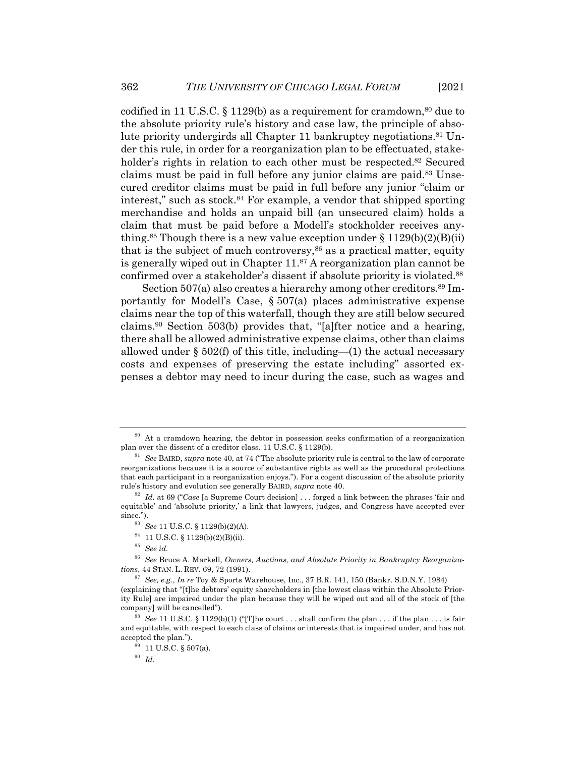codified in 11 U.S.C.  $\S$  1129(b) as a requirement for cramdown,<sup>80</sup> due to the absolute priority rule's history and case law, the principle of absolute priority undergirds all Chapter 11 bankruptcy negotiations.<sup>81</sup> Under this rule, in order for a reorganization plan to be effectuated, stakeholder's rights in relation to each other must be respected.<sup>82</sup> Secured claims must be paid in full before any junior claims are paid.83 Unsecured creditor claims must be paid in full before any junior "claim or interest," such as stock.84 For example, a vendor that shipped sporting merchandise and holds an unpaid bill (an unsecured claim) holds a claim that must be paid before a Modell's stockholder receives anything.<sup>85</sup> Though there is a new value exception under  $\S 1129(b)(2)(B)(ii)$ that is the subject of much controversy, $86$  as a practical matter, equity is generally wiped out in Chapter  $11.^{87}$  A reorganization plan cannot be confirmed over a stakeholder's dissent if absolute priority is violated.88

Section 507(a) also creates a hierarchy among other creditors.<sup>89</sup> Importantly for Modell's Case, § 507(a) places administrative expense claims near the top of this waterfall, though they are still below secured claims.90 Section 503(b) provides that, "[a]fter notice and a hearing, there shall be allowed administrative expense claims, other than claims allowed under  $\S 502(f)$  of this title, including—(1) the actual necessary costs and expenses of preserving the estate including" assorted expenses a debtor may need to incur during the case, such as wages and

 $^{84}$  11 U.S.C. § 1129(b)(2)(B)(ii).

<sup>87</sup> *See, e.g.*, *In re* Toy & Sports Warehouse, Inc., 37 B.R. 141, 150 (Bankr. S.D.N.Y. 1984)

 $80$  At a cramdown hearing, the debtor in possession seeks confirmation of a reorganization plan over the dissent of a creditor class. 11 U.S.C. § 1129(b).

<sup>81</sup> *See* BAIRD, *supra* note 40, at 74 ("The absolute priority rule is central to the law of corporate reorganizations because it is a source of substantive rights as well as the procedural protections that each participant in a reorganization enjoys."). For a cogent discussion of the absolute priority rule's history and evolution see generally BAIRD, *supra* note 40.

<sup>82</sup> *Id.* at 69 ("*Case* [a Supreme Court decision] . . . forged a link between the phrases 'fair and equitable' and 'absolute priority,' a link that lawyers, judges, and Congress have accepted ever since.").

<sup>83</sup> *See* 11 U.S.C. § 1129(b)(2)(A).

<sup>85</sup> *See id.*

<sup>86</sup> *See* Bruce A. Markell, *Owners, Auctions, and Absolute Priority in Bankruptcy Reorganizations*, 44 STAN. L. REV. 69, 72 (1991).

<sup>(</sup>explaining that "[t]he debtors' equity shareholders in [the lowest class within the Absolute Priority Rule] are impaired under the plan because they will be wiped out and all of the stock of [the company] will be cancelled").

<sup>&</sup>lt;sup>88</sup> *See* 11 U.S.C. § 1129(b)(1) ("[T]he court . . . shall confirm the plan . . . if the plan . . . is fair and equitable, with respect to each class of claims or interests that is impaired under, and has not accepted the plan.").

<sup>89</sup> 11 U.S.C. § 507(a).

<sup>90</sup> *Id.*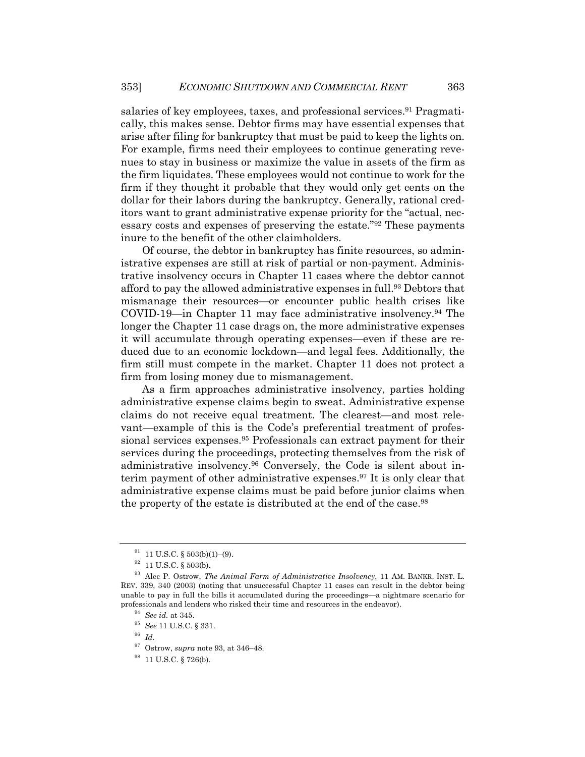salaries of key employees, taxes, and professional services.<sup>91</sup> Pragmatically, this makes sense. Debtor firms may have essential expenses that arise after filing for bankruptcy that must be paid to keep the lights on. For example, firms need their employees to continue generating revenues to stay in business or maximize the value in assets of the firm as the firm liquidates. These employees would not continue to work for the firm if they thought it probable that they would only get cents on the dollar for their labors during the bankruptcy. Generally, rational creditors want to grant administrative expense priority for the "actual, necessary costs and expenses of preserving the estate."92 These payments inure to the benefit of the other claimholders.

Of course, the debtor in bankruptcy has finite resources, so administrative expenses are still at risk of partial or non-payment. Administrative insolvency occurs in Chapter 11 cases where the debtor cannot afford to pay the allowed administrative expenses in full.93 Debtors that mismanage their resources—or encounter public health crises like COVID-19—in Chapter 11 may face administrative insolvency.94 The longer the Chapter 11 case drags on, the more administrative expenses it will accumulate through operating expenses—even if these are reduced due to an economic lockdown—and legal fees. Additionally, the firm still must compete in the market. Chapter 11 does not protect a firm from losing money due to mismanagement.

As a firm approaches administrative insolvency, parties holding administrative expense claims begin to sweat. Administrative expense claims do not receive equal treatment. The clearest—and most relevant—example of this is the Code's preferential treatment of professional services expenses.95 Professionals can extract payment for their services during the proceedings, protecting themselves from the risk of administrative insolvency.96 Conversely, the Code is silent about interim payment of other administrative expenses.97 It is only clear that administrative expense claims must be paid before junior claims when the property of the estate is distributed at the end of the case.<sup>98</sup>

 $91$  11 U.S.C. § 503(b)(1)–(9).

 $92$  11 U.S.C. § 503(b).

<sup>93</sup> Alec P. Ostrow, *The Animal Farm of Administrative Insolvency*, 11 AM. BANKR. INST. L. REV. 339, 340 (2003) (noting that unsuccessful Chapter 11 cases can result in the debtor being unable to pay in full the bills it accumulated during the proceedings—a nightmare scenario for professionals and lenders who risked their time and resources in the endeavor).

<sup>94</sup> *See id.* at 345.

<sup>95</sup> *See* 11 U.S.C. § 331.

<sup>96</sup> *Id.*

<sup>97</sup> Ostrow, *supra* note 93, at 346–48.

<sup>98</sup> 11 U.S.C. § 726(b).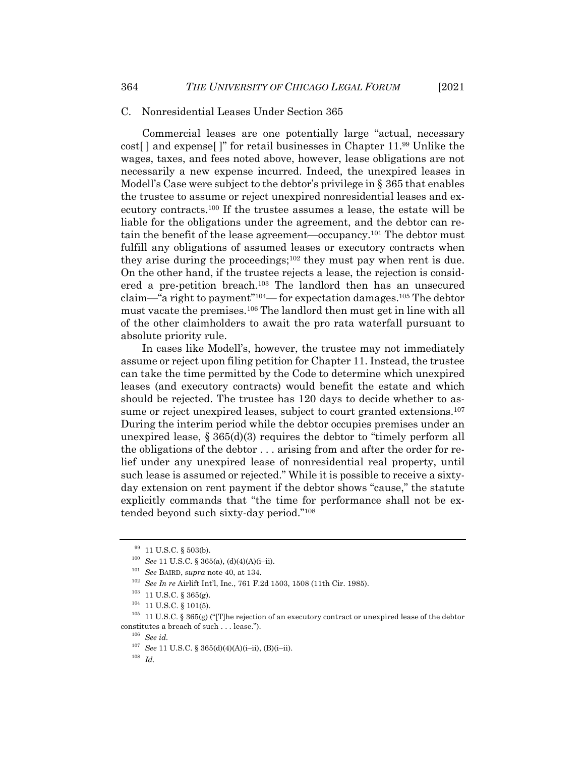#### C. Nonresidential Leases Under Section 365

Commercial leases are one potentially large "actual, necessary cost[ ] and expense[ ]" for retail businesses in Chapter 11.99 Unlike the wages, taxes, and fees noted above, however, lease obligations are not necessarily a new expense incurred. Indeed, the unexpired leases in Modell's Case were subject to the debtor's privilege in § 365 that enables the trustee to assume or reject unexpired nonresidential leases and executory contracts.100 If the trustee assumes a lease, the estate will be liable for the obligations under the agreement, and the debtor can retain the benefit of the lease agreement—occupancy.101 The debtor must fulfill any obligations of assumed leases or executory contracts when they arise during the proceedings; $102$  they must pay when rent is due. On the other hand, if the trustee rejects a lease, the rejection is considered a pre-petition breach.103 The landlord then has an unsecured claim—"a right to payment"104— for expectation damages.105 The debtor must vacate the premises.106 The landlord then must get in line with all of the other claimholders to await the pro rata waterfall pursuant to absolute priority rule.

In cases like Modell's, however, the trustee may not immediately assume or reject upon filing petition for Chapter 11. Instead, the trustee can take the time permitted by the Code to determine which unexpired leases (and executory contracts) would benefit the estate and which should be rejected. The trustee has 120 days to decide whether to assume or reject unexpired leases, subject to court granted extensions.<sup>107</sup> During the interim period while the debtor occupies premises under an unexpired lease,  $\S 365(d)(3)$  requires the debtor to "timely perform all the obligations of the debtor . . . arising from and after the order for relief under any unexpired lease of nonresidential real property, until such lease is assumed or rejected." While it is possible to receive a sixtyday extension on rent payment if the debtor shows "cause," the statute explicitly commands that "the time for performance shall not be extended beyond such sixty-day period."108

 $^{99}$  11 U.S.C.  $\S$  503(b).

<sup>100</sup> *See* 11 U.S.C. § 365(a), (d)(4)(A)(i–ii).

<sup>101</sup> *See* BAIRD, *supra* note 40, at 134.

<sup>102</sup> *See In re* Airlift Int'l, Inc., 761 F.2d 1503, 1508 (11th Cir. 1985).

 $^{103}~$  11 U.S.C. § 365(g).

 $104$  11 U.S.C. § 101(5).

<sup>&</sup>lt;sup>105</sup> 11 U.S.C. § 365(g) ("[T]he rejection of an executory contract or unexpired lease of the debtor constitutes a breach of such . . . lease.").

<sup>106</sup> *See id.*

<sup>107</sup> *See* 11 U.S.C. § 365(d)(4)(A)(i–ii), (B)(i–ii).

<sup>108</sup> *Id.*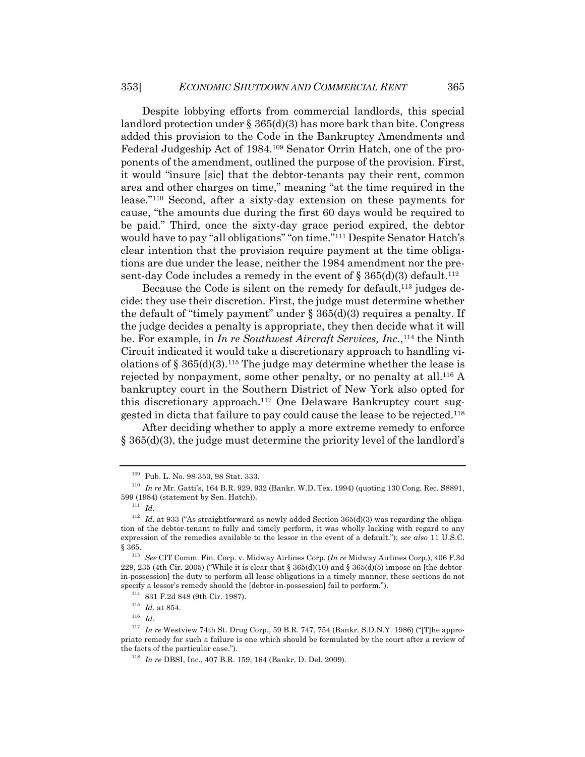Despite lobbying efforts from commercial landlords, this special landlord protection under  $\S 365(d)(3)$  has more bark than bite. Congress added this provision to the Code in the Bankruptcy Amendments and Federal Judgeship Act of 1984.109 Senator Orrin Hatch, one of the proponents of the amendment, outlined the purpose of the provision. First, it would "insure [sic] that the debtor-tenants pay their rent, common area and other charges on time," meaning "at the time required in the lease."110 Second, after a sixty-day extension on these payments for cause, "the amounts due during the first 60 days would be required to be paid." Third, once the sixty-day grace period expired, the debtor would have to pay "all obligations" "on time."111 Despite Senator Hatch's clear intention that the provision require payment at the time obligations are due under the lease, neither the 1984 amendment nor the present-day Code includes a remedy in the event of  $\S$  365(d)(3) default.<sup>112</sup>

Because the Code is silent on the remedy for default, $113$  judges decide: they use their discretion. First, the judge must determine whether the default of "timely payment" under  $\S 365(d)(3)$  requires a penalty. If the judge decides a penalty is appropriate, they then decide what it will be. For example, in *In re Southwest Aircraft Services, Inc.*, <sup>114</sup> the Ninth Circuit indicated it would take a discretionary approach to handling violations of  $\S 365(d)(3)$ .<sup>115</sup> The judge may determine whether the lease is rejected by nonpayment, some other penalty, or no penalty at all.116 A bankruptcy court in the Southern District of New York also opted for this discretionary approach.117 One Delaware Bankruptcy court suggested in dicta that failure to pay could cause the lease to be rejected.118

After deciding whether to apply a more extreme remedy to enforce  $\S$  365(d)(3), the judge must determine the priority level of the landlord's

<sup>109</sup> Pub. L. No. 98-353, 98 Stat. 333.

<sup>110</sup> *In re* Mr. Gatti's, 164 B.R. 929, 932 (Bankr. W.D. Tex. 1994) (quoting 130 Cong. Rec. S8891, 599 (1984) (statement by Sen. Hatch)).

<sup>111</sup> *Id.*

 $112$  *Id.* at 933 ("As straightforward as newly added Section 365(d)(3) was regarding the obligation of the debtor-tenant to fully and timely perform, it was wholly lacking with regard to any expression of the remedies available to the lessor in the event of a default."); *see also* 11 U.S.C. § 365.

<sup>113</sup> *See* CIT Comm. Fin. Corp. v. Midway Airlines Corp. (*In re* Midway Airlines Corp.), 406 F.3d 229, 235 (4th Cir. 2005) ("While it is clear that  $\S 365(d)(10)$  and  $\S 365(d)(5)$  impose on [the debtorin-possession] the duty to perform all lease obligations in a timely manner, these sections do not specify a lessor's remedy should the [debtor-in-possession] fail to perform.").

<sup>114</sup> 831 F.2d 848 (9th Cir. 1987).

 $^{115}\,$   $Id.\;$  at 854.

<sup>116</sup> *Id.*

<sup>117</sup> *In re* Westview 74th St. Drug Corp., 59 B.R. 747, 754 (Bankr. S.D.N.Y. 1986) ("[T]he appropriate remedy for such a failure is one which should be formulated by the court after a review of the facts of the particular case.").

<sup>118</sup> *In re* DBSI, Inc., 407 B.R. 159, 164 (Bankr. D. Del. 2009).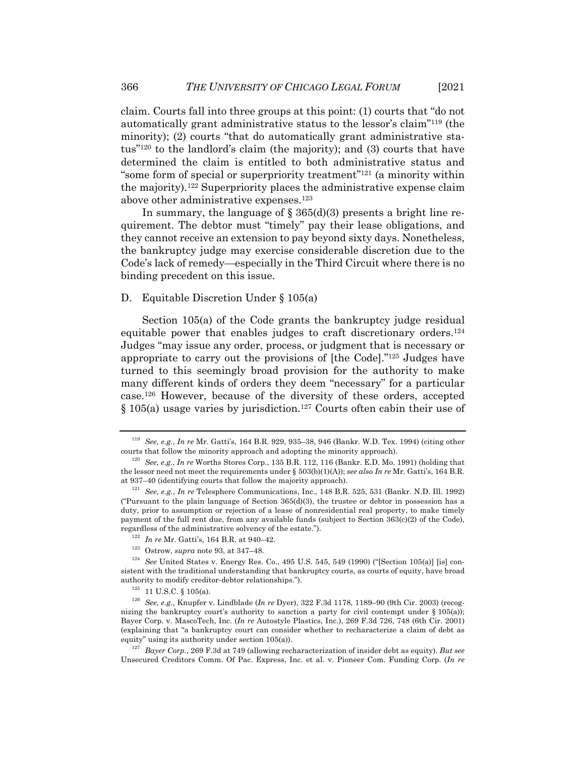claim. Courts fall into three groups at this point: (1) courts that "do not automatically grant administrative status to the lessor's claim"119 (the minority); (2) courts "that do automatically grant administrative status"120 to the landlord's claim (the majority); and (3) courts that have determined the claim is entitled to both administrative status and "some form of special or superpriority treatment"121 (a minority within the majority).122 Superpriority places the administrative expense claim above other administrative expenses.123

In summary, the language of  $\S 365(d)(3)$  presents a bright line requirement. The debtor must "timely" pay their lease obligations, and they cannot receive an extension to pay beyond sixty days. Nonetheless, the bankruptcy judge may exercise considerable discretion due to the Code's lack of remedy—especially in the Third Circuit where there is no binding precedent on this issue.

#### D. Equitable Discretion Under § 105(a)

Section 105(a) of the Code grants the bankruptcy judge residual equitable power that enables judges to craft discretionary orders.124 Judges "may issue any order, process, or judgment that is necessary or appropriate to carry out the provisions of [the Code]."125 Judges have turned to this seemingly broad provision for the authority to make many different kinds of orders they deem "necessary" for a particular case.126 However, because of the diversity of these orders, accepted  $§$  105(a) usage varies by jurisdiction.<sup>127</sup> Courts often cabin their use of

- <sup>122</sup> *In re* Mr. Gatti's, 164 B.R. at 940–42.
- <sup>123</sup> Ostrow, *supra* note 93, at 347–48.

<sup>119</sup> *See, e.g.*, *In re* Mr. Gatti's, 164 B.R. 929, 935–38, 946 (Bankr. W.D. Tex. 1994) (citing other courts that follow the minority approach and adopting the minority approach).

<sup>120</sup> *See, e.g.*, *In re* Worths Stores Corp., 135 B.R. 112, 116 (Bankr. E.D. Mo. 1991) (holding that the lessor need not meet the requirements under § 503(b)(1)(A)); *see also In re* Mr. Gatti's, 164 B.R. at 937–40 (identifying courts that follow the majority approach).

<sup>121</sup> *See, e.g.*, *In re* Telesphere Communications, Inc., 148 B.R. 525, 531 (Bankr. N.D. Ill. 1992) ("Pursuant to the plain language of Section  $365(d)(3)$ , the trustee or debtor in possession has a duty, prior to assumption or rejection of a lease of nonresidential real property, to make timely payment of the full rent due, from any available funds (subject to Section 363(c)(2) of the Code), regardless of the administrative solvency of the estate.").

<sup>124</sup> *See* United States v. Energy Res. Co., 495 U.S. 545, 549 (1990) ("[Section 105(a)] [is] consistent with the traditional understanding that bankruptcy courts, as courts of equity, have broad authority to modify creditor-debtor relationships.").

 $125$  11 U.S.C. § 105(a).

<sup>126</sup> *See, e.g.*, Knupfer v. Lindblade (*In re* Dyer), 322 F.3d 1178, 1189–90 (9th Cir. 2003) (recognizing the bankruptcy court's authority to sanction a party for civil contempt under  $\S 105(a)$ ); Bayer Corp. v. MascoTech, Inc. (*In re* Autostyle Plastics, Inc.), 269 F.3d 726, 748 (6th Cir. 2001) (explaining that "a bankruptcy court can consider whether to recharacterize a claim of debt as equity" using its authority under section 105(a)).

<sup>127</sup> *Bayer Corp.*, 269 F.3d at 749 (allowing recharacterization of insider debt as equity). *But see*  Unsecured Creditors Comm. Of Pac. Express, Inc. et al. v. Pioneer Com. Funding Corp. (*In re*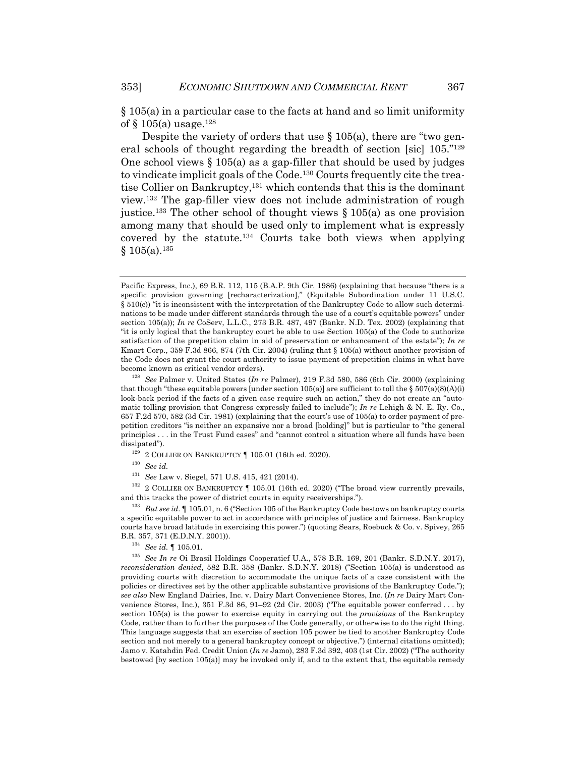§ 105(a) in a particular case to the facts at hand and so limit uniformity of  $\S$  105(a) usage.<sup>128</sup>

Despite the variety of orders that use § 105(a), there are "two general schools of thought regarding the breadth of section [sic] 105."129 One school views  $\S 105(a)$  as a gap-filler that should be used by judges to vindicate implicit goals of the Code.130 Courts frequently cite the treatise Collier on Bankruptcy,131 which contends that this is the dominant view.132 The gap-filler view does not include administration of rough justice.<sup>133</sup> The other school of thought views  $\S 105(a)$  as one provision among many that should be used only to implement what is expressly covered by the statute.134 Courts take both views when applying  $§ 105(a).$ <sup>135</sup>

 $^{129}$  2 COLLIER ON BANKRUPTCY  $\P$  105.01 (16th ed. 2020).

<sup>130</sup> *See id.*

<sup>131</sup> *See* Law v. Siegel, 571 U.S. 415, 421 (2014).

 $132$  2 COLLIER ON BANKRUPTCY  $\P$  105.01 (16th ed. 2020) ("The broad view currently prevails, and this tracks the power of district courts in equity receiverships.").

<sup>133</sup> *But see id.* ¶ 105.01, n. 6 ("Section 105 of the Bankruptcy Code bestows on bankruptcy courts a specific equitable power to act in accordance with principles of justice and fairness. Bankruptcy courts have broad latitude in exercising this power.") (quoting Sears, Roebuck & Co. v. Spivey, 265 B.R. 357, 371 (E.D.N.Y. 2001)).

<sup>134</sup> *See id.* ¶ 105.01.

<sup>135</sup> *See In re* Oi Brasil Holdings Cooperatief U.A., 578 B.R. 169, 201 (Bankr. S.D.N.Y. 2017), *reconsideration denied*, 582 B.R. 358 (Bankr. S.D.N.Y. 2018) ("Section 105(a) is understood as providing courts with discretion to accommodate the unique facts of a case consistent with the policies or directives set by the other applicable substantive provisions of the Bankruptcy Code."); *see also* New England Dairies, Inc. v. Dairy Mart Convenience Stores, Inc. (*In re* Dairy Mart Convenience Stores, Inc.), 351 F.3d 86, 91–92 (2d Cir. 2003) ("The equitable power conferred . . . by section 105(a) is the power to exercise equity in carrying out the *provisions* of the Bankruptcy Code, rather than to further the purposes of the Code generally, or otherwise to do the right thing. This language suggests that an exercise of section 105 power be tied to another Bankruptcy Code section and not merely to a general bankruptcy concept or objective.") (internal citations omitted); Jamo v. Katahdin Fed. Credit Union (*In re* Jamo), 283 F.3d 392, 403 (1st Cir. 2002) ("The authority bestowed [by section 105(a)] may be invoked only if, and to the extent that, the equitable remedy

Pacific Express, Inc.), 69 B.R. 112, 115 (B.A.P. 9th Cir. 1986) (explaining that because "there is a specific provision governing [recharacterization]," (Equitable Subordination under 11 U.S.C.  $§ 510(c)$  "it is inconsistent with the interpretation of the Bankruptcy Code to allow such determinations to be made under different standards through the use of a court's equitable powers" under section 105(a)); *In re* CoServ, L.L.C., 273 B.R. 487, 497 (Bankr. N.D. Tex. 2002) (explaining that "it is only logical that the bankruptcy court be able to use Section 105(a) of the Code to authorize satisfaction of the prepetition claim in aid of preservation or enhancement of the estate"); *In re* Kmart Corp., 359 F.3d 866, 874 (7th Cir. 2004) (ruling that § 105(a) without another provision of the Code does not grant the court authority to issue payment of prepetition claims in what have become known as critical vendor orders).

<sup>128</sup> *See* Palmer v. United States (*In re* Palmer), 219 F.3d 580, 586 (6th Cir. 2000) (explaining that though "these equitable powers [under section 105(a)] are sufficient to toll the  $\S 507(a)(8)(A)(i)$ look-back period if the facts of a given case require such an action," they do not create an "automatic tolling provision that Congress expressly failed to include"); *In re* Lehigh & N. E. Ry. Co., 657 F.2d 570, 582 (3d Cir. 1981) (explaining that the court's use of 105(a) to order payment of prepetition creditors "is neither an expansive nor a broad [holding]" but is particular to "the general principles . . . in the Trust Fund cases" and "cannot control a situation where all funds have been dissipated").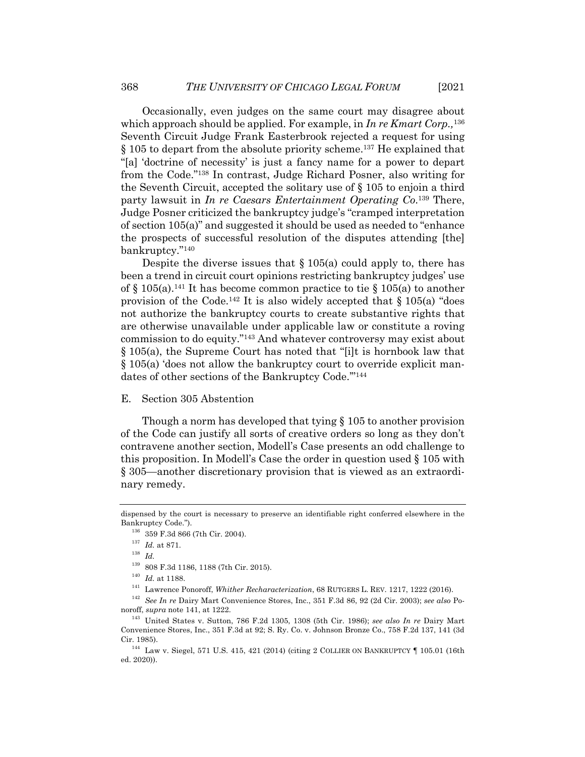Occasionally, even judges on the same court may disagree about which approach should be applied. For example, in *In re Kmart Corp.,*<sup>136</sup> Seventh Circuit Judge Frank Easterbrook rejected a request for using § 105 to depart from the absolute priority scheme.137 He explained that "[a] 'doctrine of necessity' is just a fancy name for a power to depart from the Code."138 In contrast, Judge Richard Posner, also writing for the Seventh Circuit, accepted the solitary use of § 105 to enjoin a third party lawsuit in *In re Caesars Entertainment Operating Co*. <sup>139</sup> There, Judge Posner criticized the bankruptcy judge's "cramped interpretation of section 105(a)" and suggested it should be used as needed to "enhance the prospects of successful resolution of the disputes attending [the] bankruptcy."140

Despite the diverse issues that  $\S 105(a)$  could apply to, there has been a trend in circuit court opinions restricting bankruptcy judges' use of  $\S$  105(a).<sup>141</sup> It has become common practice to tie  $\S$  105(a) to another provision of the Code.<sup>142</sup> It is also widely accepted that  $\S 105(a)$  "does" not authorize the bankruptcy courts to create substantive rights that are otherwise unavailable under applicable law or constitute a roving commission to do equity."143 And whatever controversy may exist about § 105(a), the Supreme Court has noted that "[i]t is hornbook law that § 105(a) 'does not allow the bankruptcy court to override explicit mandates of other sections of the Bankruptcy Code."<sup>144</sup>

### E. Section 305 Abstention

Though a norm has developed that tying § 105 to another provision of the Code can justify all sorts of creative orders so long as they don't contravene another section, Modell's Case presents an odd challenge to this proposition. In Modell's Case the order in question used § 105 with § 305—another discretionary provision that is viewed as an extraordinary remedy.

dispensed by the court is necessary to preserve an identifiable right conferred elsewhere in the Bankruptcy Code.").

<sup>136</sup> 359 F.3d 866 (7th Cir. 2004).

<sup>137</sup> *Id.* at 871.

<sup>138</sup> *Id.*

<sup>139</sup> 808 F.3d 1186, 1188 (7th Cir. 2015).

<sup>140</sup> *Id.* at 1188.

<sup>141</sup> Lawrence Ponoroff, *Whither Recharacterization*, 68 RUTGERS L. REV. 1217, 1222 (2016).

<sup>142</sup> *See In re* Dairy Mart Convenience Stores, Inc., 351 F.3d 86, 92 (2d Cir. 2003); *see also* Ponoroff, *supra* note 141, at 1222.

<sup>143</sup> United States v. Sutton, 786 F.2d 1305, 1308 (5th Cir. 1986); *see also In re* Dairy Mart Convenience Stores, Inc., 351 F.3d at 92; S. Ry. Co. v. Johnson Bronze Co., 758 F.2d 137, 141 (3d Cir. 1985).

<sup>144</sup> Law v. Siegel, 571 U.S. 415, 421 (2014) (citing 2 COLLIER ON BANKRUPTCY ¶ 105.01 (16th ed. 2020)).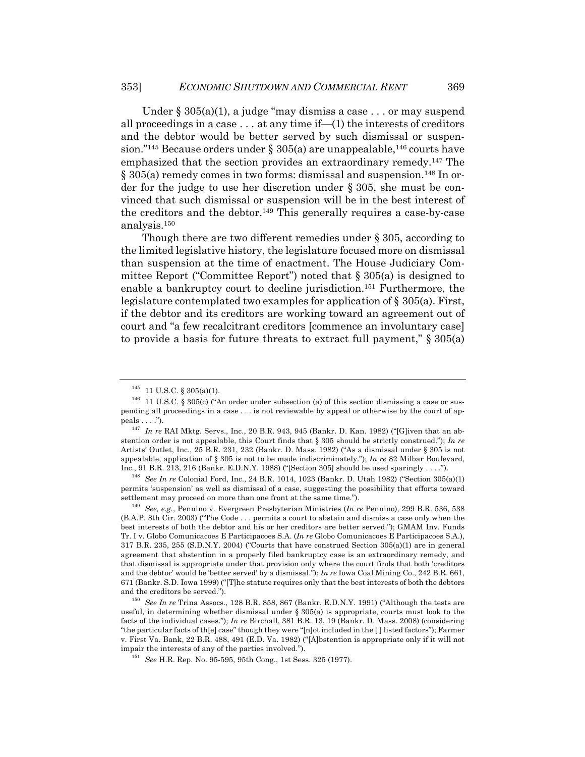Under  $\S 305(a)(1)$ , a judge "may dismiss a case . . . or may suspend all proceedings in a case  $\dots$  at any time if—(1) the interests of creditors and the debtor would be better served by such dismissal or suspension."<sup>145</sup> Because orders under § 305(a) are unappealable,<sup>146</sup> courts have emphasized that the section provides an extraordinary remedy.147 The § 305(a) remedy comes in two forms: dismissal and suspension.<sup>148</sup> In order for the judge to use her discretion under § 305, she must be convinced that such dismissal or suspension will be in the best interest of the creditors and the debtor.149 This generally requires a case-by-case analysis.150

Though there are two different remedies under § 305, according to the limited legislative history, the legislature focused more on dismissal than suspension at the time of enactment. The House Judiciary Committee Report ("Committee Report") noted that § 305(a) is designed to enable a bankruptcy court to decline jurisdiction.151 Furthermore, the legislature contemplated two examples for application of  $\S 305(a)$ . First, if the debtor and its creditors are working toward an agreement out of court and "a few recalcitrant creditors [commence an involuntary case] to provide a basis for future threats to extract full payment," § 305(a)

<sup>148</sup> *See In re* Colonial Ford, Inc., 24 B.R. 1014, 1023 (Bankr. D. Utah 1982) ("Section 305(a)(1) permits 'suspension' as well as dismissal of a case, suggesting the possibility that efforts toward settlement may proceed on more than one front at the same time.").

<sup>149</sup> *See, e.g.*, Pennino v. Evergreen Presbyterian Ministries (*In re* Pennino), 299 B.R. 536, 538 (B.A.P. 8th Cir. 2003) ("The Code . . . permits a court to abstain and dismiss a case only when the best interests of both the debtor and his or her creditors are better served."); GMAM Inv. Funds Tr. I v. Globo Comunicacoes E Participacoes S.A. (*In re* Globo Comunicacoes E Participacoes S.A.), 317 B.R. 235, 255 (S.D.N.Y. 2004) ("Courts that have construed Section 305(a)(1) are in general agreement that abstention in a properly filed bankruptcy case is an extraordinary remedy, and that dismissal is appropriate under that provision only where the court finds that both 'creditors and the debtor' would be 'better served' by a dismissal."); *In re* Iowa Coal Mining Co., 242 B.R. 661, 671 (Bankr. S.D. Iowa 1999) ("[T]he statute requires only that the best interests of both the debtors and the creditors be served.").

 $145$  11 U.S.C. § 305(a)(1).

 $146$  11 U.S.C. § 305(c) ("An order under subsection (a) of this section dismissing a case or suspending all proceedings in a case . . . is not reviewable by appeal or otherwise by the court of appeals . . . .").

<sup>147</sup> *In re* RAI Mktg. Servs., Inc., 20 B.R. 943, 945 (Bankr. D. Kan. 1982) ("[G]iven that an abstention order is not appealable, this Court finds that § 305 should be strictly construed."); *In re* Artists' Outlet, Inc., 25 B.R. 231, 232 (Bankr. D. Mass. 1982) ("As a dismissal under § 305 is not appealable, application of § 305 is not to be made indiscriminately."); *In re* 82 Milbar Boulevard, Inc., 91 B.R. 213, 216 (Bankr. E.D.N.Y. 1988) ("[Section 305] should be used sparingly . . . .").

<sup>150</sup> *See In re* Trina Assocs., 128 B.R. 858, 867 (Bankr. E.D.N.Y. 1991) ("Although the tests are useful, in determining whether dismissal under § 305(a) is appropriate, courts must look to the facts of the individual cases."); *In re* Birchall, 381 B.R. 13, 19 (Bankr. D. Mass. 2008) (considering "the particular facts of th[e] case" though they were "[n]ot included in the [ ] listed factors"); Farmer v. First Va. Bank, 22 B.R. 488, 491 (E.D. Va. 1982) ("[A]bstention is appropriate only if it will not impair the interests of any of the parties involved.").

<sup>151</sup> *See* H.R. Rep. No. 95-595, 95th Cong., 1st Sess. 325 (1977).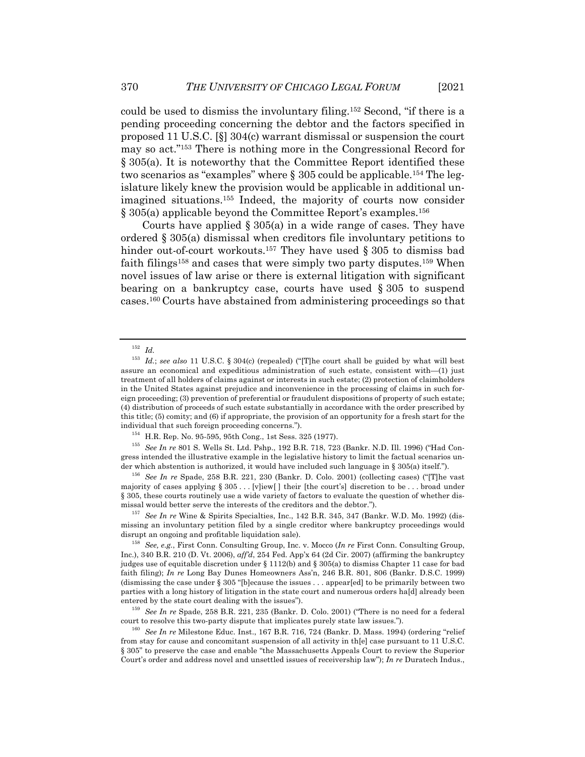could be used to dismiss the involuntary filing.152 Second, "if there is a pending proceeding concerning the debtor and the factors specified in proposed 11 U.S.C. [§] 304(c) warrant dismissal or suspension the court may so act."153 There is nothing more in the Congressional Record for § 305(a). It is noteworthy that the Committee Report identified these two scenarios as "examples" where  $\S 305$  could be applicable.<sup>154</sup> The legislature likely knew the provision would be applicable in additional unimagined situations.155 Indeed, the majority of courts now consider § 305(a) applicable beyond the Committee Report's examples.156

Courts have applied  $\S 305(a)$  in a wide range of cases. They have ordered § 305(a) dismissal when creditors file involuntary petitions to hinder out-of-court workouts.<sup>157</sup> They have used § 305 to dismiss bad faith filings<sup>158</sup> and cases that were simply two party disputes.<sup>159</sup> When novel issues of law arise or there is external litigation with significant bearing on a bankruptcy case, courts have used § 305 to suspend cases.160 Courts have abstained from administering proceedings so that

<sup>155</sup> *See In re* 801 S. Wells St. Ltd. Pshp., 192 B.R. 718, 723 (Bankr. N.D. Ill. 1996) ("Had Congress intended the illustrative example in the legislative history to limit the factual scenarios under which abstention is authorized, it would have included such language in § 305(a) itself.").

<sup>156</sup> *See In re* Spade, 258 B.R. 221, 230 (Bankr. D. Colo. 2001) (collecting cases) ("[T]he vast majority of cases applying § 305 . . . [v]iew[ ] their [the court's] discretion to be . . . broad under § 305, these courts routinely use a wide variety of factors to evaluate the question of whether dismissal would better serve the interests of the creditors and the debtor.").

<sup>157</sup> *See In re* Wine & Spirits Specialties, Inc., 142 B.R. 345, 347 (Bankr. W.D. Mo. 1992) (dismissing an involuntary petition filed by a single creditor where bankruptcy proceedings would disrupt an ongoing and profitable liquidation sale).

<sup>158</sup> *See, e.g.*, First Conn. Consulting Group, Inc. v. Mocco (*In re* First Conn. Consulting Group, Inc.), 340 B.R. 210 (D. Vt. 2006), *aff'd*, 254 Fed. App'x 64 (2d Cir. 2007) (affirming the bankruptcy judges use of equitable discretion under § 1112(b) and § 305(a) to dismiss Chapter 11 case for bad faith filing); *In re* Long Bay Dunes Homeowners Ass'n, 246 B.R. 801, 806 (Bankr. D.S.C. 1999) (dismissing the case under § 305 "[b]ecause the issues . . . appear[ed] to be primarily between two parties with a long history of litigation in the state court and numerous orders ha[d] already been entered by the state court dealing with the issues").

<sup>159</sup> *See In re* Spade, 258 B.R. 221, 235 (Bankr. D. Colo. 2001) ("There is no need for a federal court to resolve this two-party dispute that implicates purely state law issues.").

<sup>160</sup> *See In re* Milestone Educ. Inst., 167 B.R. 716, 724 (Bankr. D. Mass. 1994) (ordering "relief from stay for cause and concomitant suspension of all activity in the l case pursuant to 11 U.S.C. § 305" to preserve the case and enable "the Massachusetts Appeals Court to review the Superior Court's order and address novel and unsettled issues of receivership law"); *In re* Duratech Indus.,

 $\frac{152}{153}$  *Id.* 

Id.; see also 11 U.S.C. § 304(c) (repealed) ("[T]he court shall be guided by what will best assure an economical and expeditious administration of such estate, consistent with—(1) just treatment of all holders of claims against or interests in such estate; (2) protection of claimholders in the United States against prejudice and inconvenience in the processing of claims in such foreign proceeding; (3) prevention of preferential or fraudulent dispositions of property of such estate; (4) distribution of proceeds of such estate substantially in accordance with the order prescribed by this title; (5) comity; and (6) if appropriate, the provision of an opportunity for a fresh start for the individual that such foreign proceeding concerns.").

<sup>154</sup> H.R. Rep. No. 95-595, 95th Cong., 1st Sess. 325 (1977).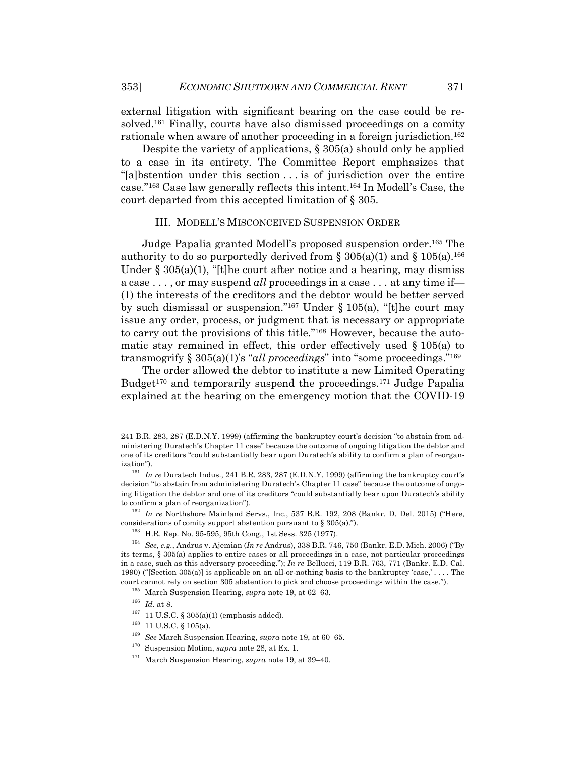external litigation with significant bearing on the case could be resolved.161 Finally, courts have also dismissed proceedings on a comity rationale when aware of another proceeding in a foreign jurisdiction.<sup>162</sup>

Despite the variety of applications,  $\S 305(a)$  should only be applied to a case in its entirety. The Committee Report emphasizes that "[a]bstention under this section . . . is of jurisdiction over the entire case."163 Case law generally reflects this intent.164 In Modell's Case, the court departed from this accepted limitation of § 305.

#### III. MODELL'S MISCONCEIVED SUSPENSION ORDER

Judge Papalia granted Modell's proposed suspension order.165 The authority to do so purportedly derived from § 305(a)(1) and § 105(a).<sup>166</sup> Under  $\S 305(a)(1)$ , "[t]he court after notice and a hearing, may dismiss a case . . . , or may suspend *all* proceedings in a case . . . at any time if— (1) the interests of the creditors and the debtor would be better served by such dismissal or suspension."<sup>167</sup> Under § 105(a), "[t]he court may issue any order, process, or judgment that is necessary or appropriate to carry out the provisions of this title."168 However, because the automatic stay remained in effect, this order effectively used  $\S 105(a)$  to transmogrify § 305(a)(1)'s "*all proceedings*" into "some proceedings."169

The order allowed the debtor to institute a new Limited Operating Budget<sup>170</sup> and temporarily suspend the proceedings.<sup>171</sup> Judge Papalia explained at the hearing on the emergency motion that the COVID-19

<sup>166</sup> *Id.* at 8.

<sup>241</sup> B.R. 283, 287 (E.D.N.Y. 1999) (affirming the bankruptcy court's decision "to abstain from administering Duratech's Chapter 11 case" because the outcome of ongoing litigation the debtor and one of its creditors "could substantially bear upon Duratech's ability to confirm a plan of reorganization").

<sup>&</sup>lt;sup>161</sup> In re Duratech Indus., 241 B.R. 283, 287 (E.D.N.Y. 1999) (affirming the bankruptcy court's decision "to abstain from administering Duratech's Chapter 11 case" because the outcome of ongoing litigation the debtor and one of its creditors "could substantially bear upon Duratech's ability to confirm a plan of reorganization").

<sup>&</sup>lt;sup>162</sup> In re Northshore Mainland Servs., Inc., 537 B.R. 192, 208 (Bankr. D. Del. 2015) ("Here, considerations of comity support abstention pursuant to § 305(a).").

<sup>&</sup>lt;sup>163</sup> H.R. Rep. No. 95-595, 95th Cong., 1st Sess. 325 (1977).

<sup>164</sup> *See, e.g.*, Andrus v. Ajemian (*In re* Andrus), 338 B.R. 746, 750 (Bankr. E.D. Mich. 2006) ("By its terms, § 305(a) applies to entire cases or all proceedings in a case, not particular proceedings in a case, such as this adversary proceeding."); *In re* Bellucci, 119 B.R. 763, 771 (Bankr. E.D. Cal. 1990) ("[Section 305(a)] is applicable on an all-or-nothing basis to the bankruptcy 'case,' . . . . The court cannot rely on section 305 abstention to pick and choose proceedings within the case.").

<sup>165</sup> March Suspension Hearing, *supra* note 19, at 62–63.

 $^{167}$  11 U.S.C. § 305(a)(1) (emphasis added).

 $^{168}$  11 U.S.C. § 105(a).

<sup>169</sup> *See* March Suspension Hearing, *supra* note 19, at 60–65.

<sup>170</sup> Suspension Motion, *supra* note 28, at Ex. 1.

<sup>171</sup> March Suspension Hearing, *supra* note 19, at 39–40.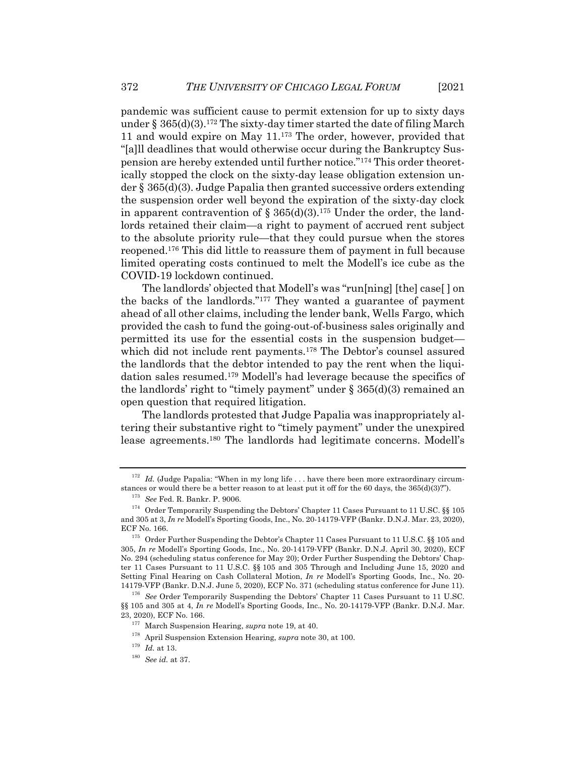pandemic was sufficient cause to permit extension for up to sixty days under § 365(d)(3).<sup>172</sup> The sixty-day timer started the date of filing March 11 and would expire on May 11.173 The order, however, provided that "[a]ll deadlines that would otherwise occur during the Bankruptcy Suspension are hereby extended until further notice."174 This order theoretically stopped the clock on the sixty-day lease obligation extension under § 365(d)(3). Judge Papalia then granted successive orders extending the suspension order well beyond the expiration of the sixty-day clock in apparent contravention of  $\S 365(d)(3)$ .<sup>175</sup> Under the order, the landlords retained their claim—a right to payment of accrued rent subject to the absolute priority rule—that they could pursue when the stores reopened.176 This did little to reassure them of payment in full because limited operating costs continued to melt the Modell's ice cube as the COVID-19 lockdown continued.

The landlords' objected that Modell's was "run[ning] [the] case[ ] on the backs of the landlords."177 They wanted a guarantee of payment ahead of all other claims, including the lender bank, Wells Fargo, which provided the cash to fund the going-out-of-business sales originally and permitted its use for the essential costs in the suspension budget which did not include rent payments.<sup>178</sup> The Debtor's counsel assured the landlords that the debtor intended to pay the rent when the liquidation sales resumed.179 Modell's had leverage because the specifics of the landlords' right to "timely payment" under  $\S 365(d)(3)$  remained an open question that required litigation.

The landlords protested that Judge Papalia was inappropriately altering their substantive right to "timely payment" under the unexpired lease agreements.180 The landlords had legitimate concerns. Modell's

 $172$  *Id.* (Judge Papalia: "When in my long life . . . have there been more extraordinary circumstances or would there be a better reason to at least put it off for the 60 days, the 365(d)(3)?").

<sup>173</sup> *See* Fed. R. Bankr. P. 9006.

 $^{174}\,$  Order Temporarily Suspending the Debtors' Chapter 11 Cases Pursuant to 11 U.SC. §§ 105 and 305 at 3, *In re* Modell's Sporting Goods, Inc., No. 20-14179-VFP (Bankr. D.N.J. Mar. 23, 2020), ECF No. 166.

<sup>175</sup> Order Further Suspending the Debtor's Chapter 11 Cases Pursuant to 11 U.S.C. §§ 105 and 305, *In re* Modell's Sporting Goods, Inc., No. 20-14179-VFP (Bankr. D.N.J. April 30, 2020), ECF No. 294 (scheduling status conference for May 20); Order Further Suspending the Debtors' Chapter 11 Cases Pursuant to 11 U.S.C. §§ 105 and 305 Through and Including June 15, 2020 and Setting Final Hearing on Cash Collateral Motion, *In re* Modell's Sporting Goods, Inc., No. 20- 14179-VFP (Bankr. D.N.J. June 5, 2020), ECF No. 371 (scheduling status conference for June 11).

<sup>&</sup>lt;sup>176</sup> See Order Temporarily Suspending the Debtors' Chapter 11 Cases Pursuant to 11 U.SC. §§ 105 and 305 at 4, *In re* Modell's Sporting Goods, Inc., No. 20-14179-VFP (Bankr. D.N.J. Mar. 23, 2020), ECF No. 166.

<sup>177</sup> March Suspension Hearing, *supra* note 19, at 40.

<sup>178</sup> April Suspension Extension Hearing, *supra* note 30, at 100.

<sup>179</sup> *Id.* at 13.

<sup>180</sup> *See id.* at 37.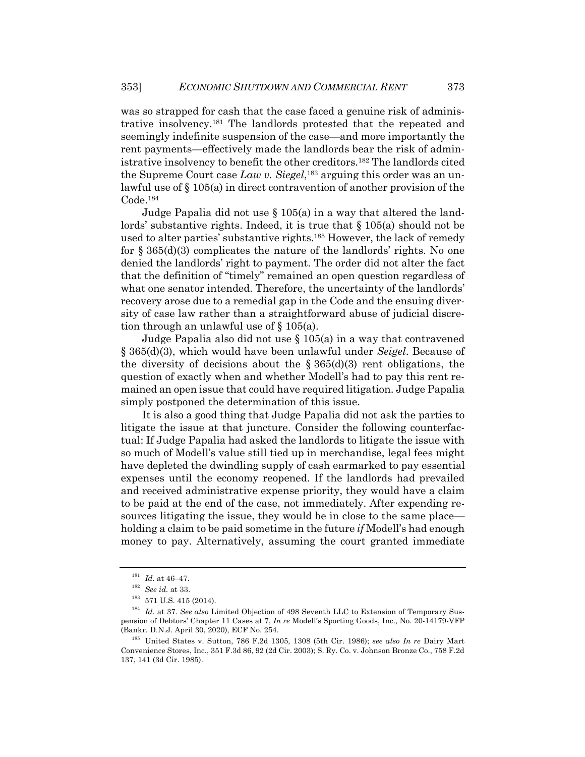was so strapped for cash that the case faced a genuine risk of administrative insolvency.181 The landlords protested that the repeated and seemingly indefinite suspension of the case—and more importantly the rent payments—effectively made the landlords bear the risk of administrative insolvency to benefit the other creditors.182 The landlords cited the Supreme Court case *Law v. Siegel*, <sup>183</sup> arguing this order was an unlawful use of § 105(a) in direct contravention of another provision of the Code.184

Judge Papalia did not use § 105(a) in a way that altered the landlords' substantive rights. Indeed, it is true that § 105(a) should not be used to alter parties' substantive rights.185 However, the lack of remedy for  $\S 365(d)(3)$  complicates the nature of the landlords' rights. No one denied the landlords' right to payment. The order did not alter the fact that the definition of "timely" remained an open question regardless of what one senator intended. Therefore, the uncertainty of the landlords' recovery arose due to a remedial gap in the Code and the ensuing diversity of case law rather than a straightforward abuse of judicial discretion through an unlawful use of § 105(a).

Judge Papalia also did not use § 105(a) in a way that contravened § 365(d)(3), which would have been unlawful under *Seigel*. Because of the diversity of decisions about the  $\S 365(d)(3)$  rent obligations, the question of exactly when and whether Modell's had to pay this rent remained an open issue that could have required litigation. Judge Papalia simply postponed the determination of this issue.

It is also a good thing that Judge Papalia did not ask the parties to litigate the issue at that juncture. Consider the following counterfactual: If Judge Papalia had asked the landlords to litigate the issue with so much of Modell's value still tied up in merchandise, legal fees might have depleted the dwindling supply of cash earmarked to pay essential expenses until the economy reopened. If the landlords had prevailed and received administrative expense priority, they would have a claim to be paid at the end of the case, not immediately. After expending resources litigating the issue, they would be in close to the same place holding a claim to be paid sometime in the future *if* Modell's had enough money to pay. Alternatively, assuming the court granted immediate

 $^{181}$   $\emph{Id.}$  at 46–47.

<sup>182</sup> *See id.* at 33.

 $\,$  183  $\,$  571 U.S. 415 (2014).

<sup>184</sup> *Id.* at 37. *See also* Limited Objection of 498 Seventh LLC to Extension of Temporary Suspension of Debtors' Chapter 11 Cases at 7, *In re* Modell's Sporting Goods, Inc., No. 20-14179-VFP (Bankr. D.N.J. April 30, 2020), ECF No. 254.

<sup>185</sup> United States v. Sutton, 786 F.2d 1305, 1308 (5th Cir. 1986); *see also In re* Dairy Mart Convenience Stores, Inc., 351 F.3d 86, 92 (2d Cir. 2003); S. Ry. Co. v. Johnson Bronze Co., 758 F.2d 137, 141 (3d Cir. 1985).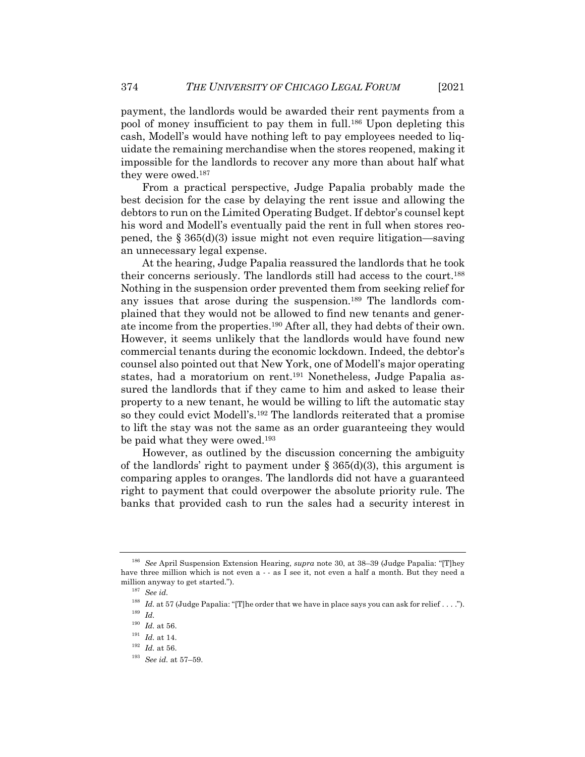payment, the landlords would be awarded their rent payments from a pool of money insufficient to pay them in full.186 Upon depleting this cash, Modell's would have nothing left to pay employees needed to liquidate the remaining merchandise when the stores reopened, making it impossible for the landlords to recover any more than about half what they were owed.187

From a practical perspective, Judge Papalia probably made the best decision for the case by delaying the rent issue and allowing the debtors to run on the Limited Operating Budget. If debtor's counsel kept his word and Modell's eventually paid the rent in full when stores reopened, the  $\S 365(d)(3)$  issue might not even require litigation—saving an unnecessary legal expense.

At the hearing, Judge Papalia reassured the landlords that he took their concerns seriously. The landlords still had access to the court.188 Nothing in the suspension order prevented them from seeking relief for any issues that arose during the suspension.189 The landlords complained that they would not be allowed to find new tenants and generate income from the properties.190 After all, they had debts of their own. However, it seems unlikely that the landlords would have found new commercial tenants during the economic lockdown. Indeed, the debtor's counsel also pointed out that New York, one of Modell's major operating states, had a moratorium on rent.<sup>191</sup> Nonetheless, Judge Papalia assured the landlords that if they came to him and asked to lease their property to a new tenant, he would be willing to lift the automatic stay so they could evict Modell's.192 The landlords reiterated that a promise to lift the stay was not the same as an order guaranteeing they would be paid what they were owed.<sup>193</sup>

However, as outlined by the discussion concerning the ambiguity of the landlords' right to payment under  $\S 365(d)(3)$ , this argument is comparing apples to oranges. The landlords did not have a guaranteed right to payment that could overpower the absolute priority rule. The banks that provided cash to run the sales had a security interest in

<sup>186</sup> *See* April Suspension Extension Hearing, *supra* note 30, at 38–39 (Judge Papalia: "[T]hey have three million which is not even a - - as I see it, not even a half a month. But they need a million anyway to get started.").

<sup>187</sup> *See id.*

<sup>&</sup>lt;sup>188</sup> *Id.* at 57 (Judge Papalia: "[T]he order that we have in place says you can ask for relief . . . .").

<sup>189</sup> *Id.*

 $^{190}\,$   $Id.\,$  at 56.

<sup>191</sup> *Id.* at 14.

<sup>192</sup> *Id.* at 56.

<sup>193</sup> *See id.* at 57–59.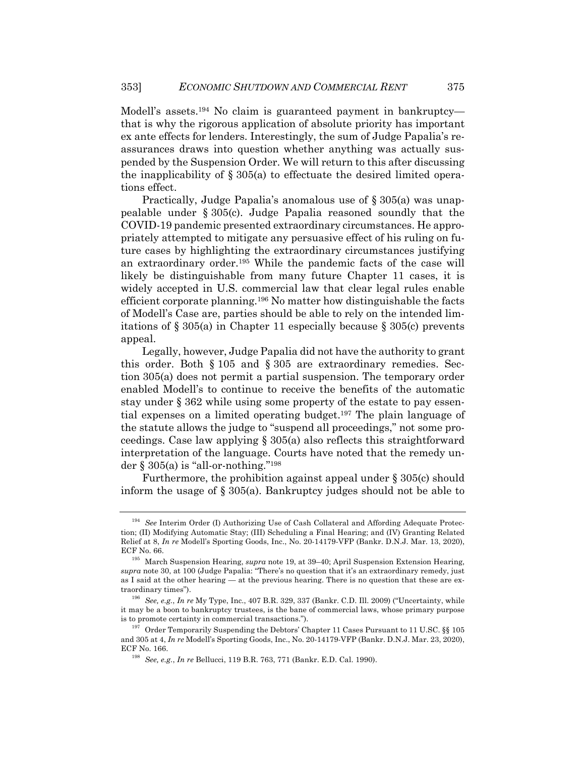Modell's assets.<sup>194</sup> No claim is guaranteed payment in bankruptcy that is why the rigorous application of absolute priority has important ex ante effects for lenders. Interestingly, the sum of Judge Papalia's reassurances draws into question whether anything was actually suspended by the Suspension Order. We will return to this after discussing the inapplicability of § 305(a) to effectuate the desired limited operations effect.

Practically, Judge Papalia's anomalous use of § 305(a) was unappealable under § 305(c). Judge Papalia reasoned soundly that the COVID-19 pandemic presented extraordinary circumstances. He appropriately attempted to mitigate any persuasive effect of his ruling on future cases by highlighting the extraordinary circumstances justifying an extraordinary order.195 While the pandemic facts of the case will likely be distinguishable from many future Chapter 11 cases, it is widely accepted in U.S. commercial law that clear legal rules enable efficient corporate planning.196 No matter how distinguishable the facts of Modell's Case are, parties should be able to rely on the intended limitations of  $\S 305(a)$  in Chapter 11 especially because  $\S 305(c)$  prevents appeal.

Legally, however, Judge Papalia did not have the authority to grant this order. Both § 105 and § 305 are extraordinary remedies. Section 305(a) does not permit a partial suspension. The temporary order enabled Modell's to continue to receive the benefits of the automatic stay under § 362 while using some property of the estate to pay essential expenses on a limited operating budget.197 The plain language of the statute allows the judge to "suspend all proceedings," not some proceedings. Case law applying § 305(a) also reflects this straightforward interpretation of the language. Courts have noted that the remedy under  $\S 305(a)$  is "all-or-nothing."<sup>198</sup>

Furthermore, the prohibition against appeal under § 305(c) should inform the usage of § 305(a). Bankruptcy judges should not be able to

<sup>194</sup> *See* Interim Order (I) Authorizing Use of Cash Collateral and Affording Adequate Protection; (II) Modifying Automatic Stay; (III) Scheduling a Final Hearing; and (IV) Granting Related Relief at 8, *In re* Modell's Sporting Goods, Inc., No. 20-14179-VFP (Bankr. D.N.J. Mar. 13, 2020), ECF No. 66.

<sup>195</sup> March Suspension Hearing, *supra* note 19, at 39–40; April Suspension Extension Hearing, *supra* note 30, at 100 (Judge Papalia: "There's no question that it's an extraordinary remedy, just as I said at the other hearing — at the previous hearing. There is no question that these are extraordinary times").

<sup>196</sup> *See, e.g.*, *In re* My Type, Inc., 407 B.R. 329, 337 (Bankr. C.D. Ill. 2009) ("Uncertainty, while it may be a boon to bankruptcy trustees, is the bane of commercial laws, whose primary purpose is to promote certainty in commercial transactions.").

<sup>197</sup> Order Temporarily Suspending the Debtors' Chapter 11 Cases Pursuant to 11 U.SC. §§ 105 and 305 at 4, *In re* Modell's Sporting Goods, Inc., No. 20-14179-VFP (Bankr. D.N.J. Mar. 23, 2020), ECF No. 166.

<sup>198</sup> *See, e.g.*, *In re* Bellucci, 119 B.R. 763, 771 (Bankr. E.D. Cal. 1990).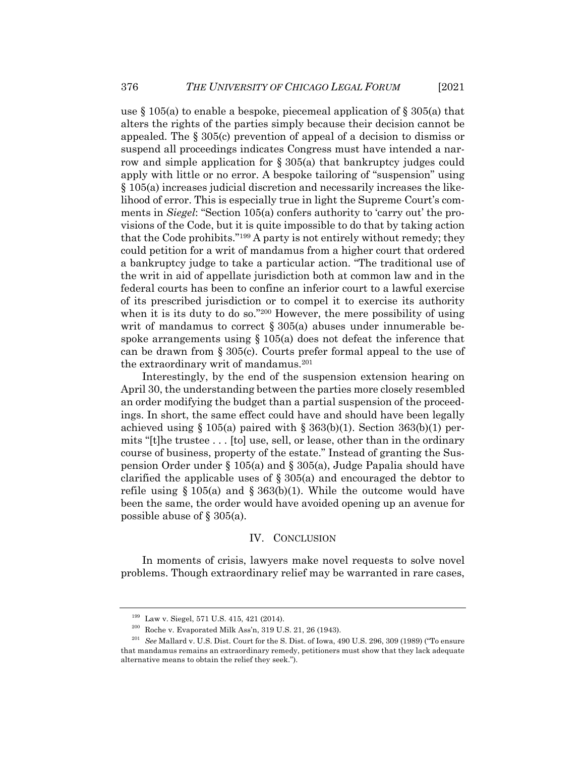use  $\S 105(a)$  to enable a bespoke, piecemeal application of  $\S 305(a)$  that alters the rights of the parties simply because their decision cannot be appealed. The § 305(c) prevention of appeal of a decision to dismiss or suspend all proceedings indicates Congress must have intended a narrow and simple application for § 305(a) that bankruptcy judges could apply with little or no error. A bespoke tailoring of "suspension" using § 105(a) increases judicial discretion and necessarily increases the likelihood of error. This is especially true in light the Supreme Court's comments in *Siegel*: "Section 105(a) confers authority to 'carry out' the provisions of the Code, but it is quite impossible to do that by taking action that the Code prohibits."199 A party is not entirely without remedy; they could petition for a writ of mandamus from a higher court that ordered a bankruptcy judge to take a particular action. "The traditional use of the writ in aid of appellate jurisdiction both at common law and in the federal courts has been to confine an inferior court to a lawful exercise of its prescribed jurisdiction or to compel it to exercise its authority when it is its duty to do so."200 However, the mere possibility of using writ of mandamus to correct  $\S 305(a)$  abuses under innumerable bespoke arrangements using  $\S 105(a)$  does not defeat the inference that can be drawn from § 305(c). Courts prefer formal appeal to the use of the extraordinary writ of mandamus.201

Interestingly, by the end of the suspension extension hearing on April 30, the understanding between the parties more closely resembled an order modifying the budget than a partial suspension of the proceedings. In short, the same effect could have and should have been legally achieved using  $\S 105(a)$  paired with  $\S 363(b)(1)$ . Section  $363(b)(1)$  permits "[t]he trustee . . . [to] use, sell, or lease, other than in the ordinary course of business, property of the estate." Instead of granting the Suspension Order under § 105(a) and § 305(a), Judge Papalia should have clarified the applicable uses of  $\S 305(a)$  and encouraged the debtor to refile using  $\S 105(a)$  and  $\S 363(b)(1)$ . While the outcome would have been the same, the order would have avoided opening up an avenue for possible abuse of § 305(a).

#### IV. CONCLUSION

In moments of crisis, lawyers make novel requests to solve novel problems. Though extraordinary relief may be warranted in rare cases,

 $199$  Law v. Siegel, 571 U.S. 415, 421 (2014).

 $200$  Roche v. Evaporated Milk Ass'n, 319 U.S. 21, 26 (1943).

<sup>201</sup> *See* Mallard v. U.S. Dist. Court for the S. Dist. of Iowa, 490 U.S. 296, 309 (1989) ("To ensure that mandamus remains an extraordinary remedy, petitioners must show that they lack adequate alternative means to obtain the relief they seek.").